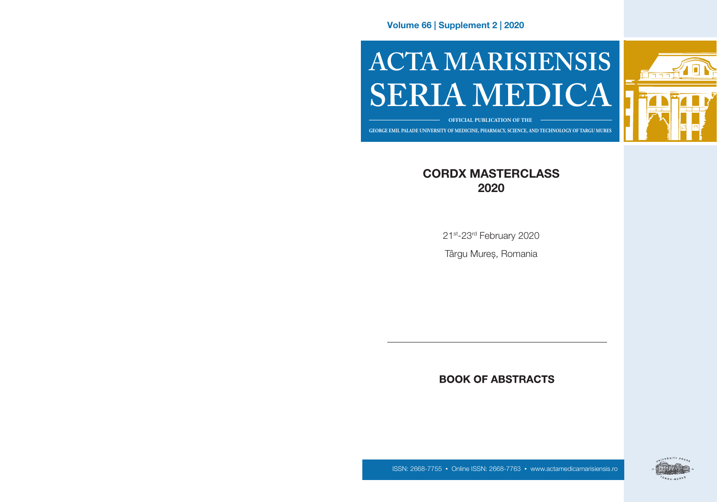Volume 66 | Supplement 2 | 2020

# **ACTA MARISIENSIS SERIA MEDICA**



**OFFICIAL PUBLICATION OF THE**

**GEORGE EMIL PALADE UNIVERSITY OF MEDICINE, PHARMACY, SCIENCE, AND TECHNOLOGY OF TARGU MURES GEORGE EMIL PALADE UNIVERSITY OF MEDICINE, PHARMACY, SCIENCE, AND TECHNOLOGY OF TÂRGU MUREȘ**

# CORDX MASTERCLASS 2020

21st-23rd February 2020

Târgu Mureș, Romania

# **BOOK OF ABSTRACTS**



ISSN: 2668-7755 • Online ISSN: 2668-7763 • www.actamedicamarisiensis.ro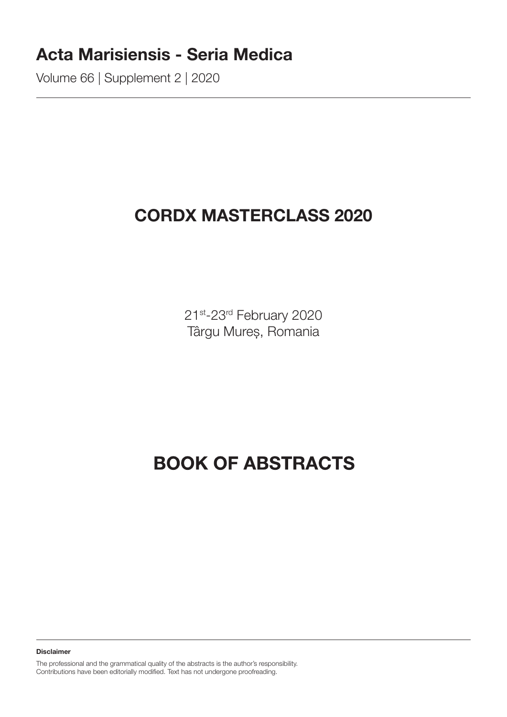# Acta Marisiensis - Seria Medica

Volume 66 | Supplement 2 | 2020

# CORDX MASTERCLASS 2020

21st-23rd February 2020 Târgu Mureș, Romania

# **BOOK OF ABSTRACTS**

Disclaimer

The professional and the grammatical quality of the abstracts is the author's responsibility. Contributions have been editorially modified. Text has not undergone proofreading.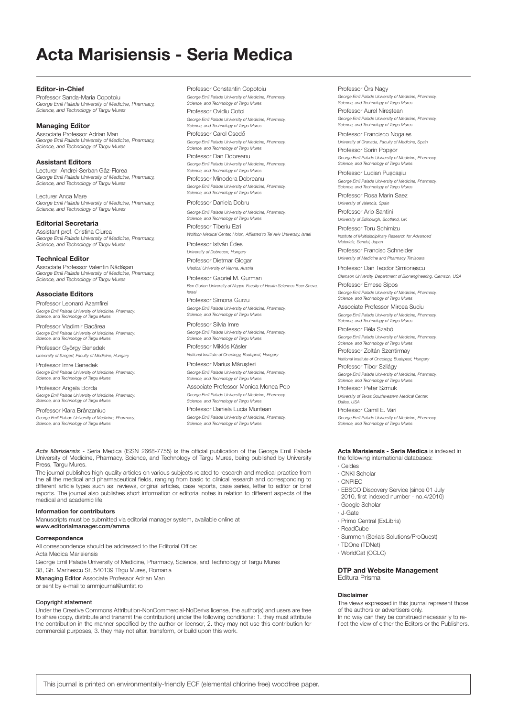# Acta Marisiensis - Seria Medica

Editor-in-Chief Professor Sanda-Maria Copotoiu *George Emil Palade University of Medicine, Pharmacy, Science, and Technology of Targu Mures*

#### Managing Editor

Associate Professor Adrian Man *George Emil Palade University of Medicine, Pharmacy, Science, and Technology of Targu Mures*

#### Assistant Editors

Lecturer Andrei-Șerban Gâz-Florea *George Emil Palade University of Medicine, Pharmacy, Science, and Technology of Targu Mures*

Lecturer Anca Mare *George Emil Palade University of Medicine, Pharmacy, Science, and Technology of Targu Mures*

Editorial Secretaria Assistant prof. Cristina Ciurea

*George Emil Palade University of Medicine, Pharmacy, Science, and Technology of Targu Mures* 

#### Technical Editor

Associate Professor Valentin Nădășan *George Emil Palade University of Medicine, Pharmacy, Science, and Technology of Targu Mures*

#### Associate Editors

Professor Leonard Azamfirei *George Emil Palade University of Medicine, Pharmacy, Science, and Technology of Targu Mures*

Professor Vladimir Bacârea *George Emil Palade University of Medicine, Pharmacy, Science, and Technology of Targu Mures*

Professor György Benedek *University of Szeged, Faculty of Medicine, Hungary*

Professor Imre Benedek *George Emil Palade University of Medicine, Pharmacy, Science, and Technology of Targu Mures*

Professor Angela Borda *George Emil Palade University of Medicine, Pharmacy, Science, and Technology of Targu Mures*

Professor Klara Brânzaniuc *George Emil Palade University of Medicine, Pharmacy, Science, and Technology of Targu Mures* Professor Constantin Copotoiu *George Emil Palade University of Medicine, Pharmacy, Science, and Technology of Targu Mures* Professor Ovidiu Cotoi

*George Emil Palade University of Medicine, Pharmacy, Science, and Technology of Targu Mures*

Professor Carol Csedő *George Emil Palade University of Medicine, Pharmacy, Science, and Technology of Targu Mures*

Professor Dan Dobreanu *George Emil Palade University of Medicine, Pharmacy, Science, and Technology of Targu Mures* Professor Minodora Dobreanu *George Emil Palade University of Medicine, Pharmacy, Science, and Technology of Targu Mures*

Professor Daniela Dobru

*George Emil Palade University of Medicine, Pharmacy, Science, and Technology of Targu Mures* Professor Tiberiu Ezri

*Wolfson Medical Center, Holon, Affiliated to Tel Aviv University, Israel* Professor István Édes

*University of Debrecen, Hungary* Professor Dietmar Glogar

*Medical University of Vienna, Austria* Professor Gabriel M. Gurman

*Ben Gurion University of Negev, Faculty of Health Sciences Beer Sheva, Israel*

Professor Simona Gurzu *George Emil Palade University of Medicine, Pharmacy, Science, and Technology of Targu Mures*

#### Professor Silvia Imre *George Emil Palade University of Medicine, Pharmacy,*

*Science, and Technology of Targu Mures* Professor Miklós Kásler

*National Institute of Oncology, Budapest, Hungary* Professor Marius Mărușteri

*George Emil Palade University of Medicine, Pharmacy, Science, and Technology of Targu Mures*

Associate Professor Monica Monea Pop *George Emil Palade University of Medicine, Pharmacy, Science, and Technology of Targu Mures*

Professor Daniela Lucia Muntean *George Emil Palade University of Medicine, Pharmacy, Science, and Technology of Targu Mures*

*Acta Marisiensis* - Seria Medica (ISSN 2668-7755) is the official publication of the George Emil Palade University of Medicine, Pharmacy, Science, and Technology of Targu Mures, being published by University Press, Targu Mures.

The journal publishes high-quality articles on various subjects related to research and medical practice from the all the medical and pharmaceutical fields, ranging from basic to clinical research and corresponding to different article types such as: reviews, original articles, case reports, case series, letter to editor or brief reports. The journal also publishes short information or editorial notes in relation to different aspects of the medical and academic life.

#### Information for contributors

Manuscripts must be submitted via editorial manager system, available online at www.editorialmanager.com/amma

#### **Correspondence**

All correspondence should be addressed to the Editorial Office: Acta Medica Marisiensis George Emil Palade University of Medicine, Pharmacy, Science, and Technology of Targu Mures 38, Gh. Marinescu St, 540139 Tîrgu Mureș, Romania

Managing Editor Associate Professor Adrian Man

or sent by e-mail to ammjournal@umfst.ro

#### Copyright statement

Under the Creative Commons Attribution-NonCommercial-NoDerivs license, the author(s) and users are free to share (copy, distribute and transmit the contribution) under the following conditions: 1. they must attribute the contribution in the manner specified by the author or licensor, 2. they may not use this contribution for commercial purposes, 3. they may not alter, transform, or build upon this work.

Professor Örs Nagy

*George Emil Palade University of Medicine, Pharmacy, Science, and Technology of Targu Mures*

Professor Aurel Nireștean *George Emil Palade University of Medicine, Pharmacy, Science, and Technology of Targu Mures*

Professor Francisco Nogales *University of Granada, Faculty of Medicine, Spain* Professor Sorin Popșor *George Emil Palade University of Medicine, Pharmacy,* 

*Science, and Technology of Targu Mures* Professor Lucian Pușcașiu

*George Emil Palade University of Medicine, Pharmacy, Science, and Technology of Targu Mures*

Professor Rosa Marin Saez *University of Valencia, Spain*

Professor Ario Santini *University of Edinburgh, Scotland, UK*

Professor Toru Schimizu *Institute of Multidisciplinary Research for Advanced Materials, Sendai, Japan*

Professor Francisc Schneider *University of Medicine and Pharmacy Timișoara*

Professor Dan Teodor Simionescu *Clemson University, Department of Bionengineering, Clemson, USA*

Professor Emese Sipos *George Emil Palade University of Medicine, Pharmacy, Science, and Technology of Targu Mures*

Associate Professor Mircea Suciu *George Emil Palade University of Medicine, Pharmacy, Science, and Technology of Targu Mures*

Professor Béla Szabó *George Emil Palade University of Medicine, Pharmacy,* 

Professor Zoltán Szentirmay

*George Emil Palade University of Medicine, Pharmacy, Science, and Technology of Targu Mures*

Professor Peter Szmuk *University of Texas Southwestern Medical Center, Dallas, USA*

*George Emil Palade University of Medicine, Pharmacy, Science, and Technology of Targu Mures*

#### Acta Marisiensis - Seria Medica is indexed in the following international databases:

· Celdes

· CNKI Scholar

- · CNPIEC
- 
- · EBSCO Discovery Service (since 01 July 2010, first indexed number - no.4/2010) · Google Scholar
- · J-Gate
- · Primo Central (ExLibris)
- · ReadCube
- · Summon (Serials Solutions/ProQuest)
- · TDOne (TDNet)
- · WorldCat (OCLC)

#### DTP and Website Management Editura Prisma

#### Disclaimer

The views expressed in this journal represent those of the authors or advertisers only. In no way can they be construed necessarily to reflect the view of either the Editors or the Publishers.

*Science, and Technology of Targu Mures*

*National Institute of Oncology, Budapest, Hungary* Professor Tibor Szilágy

Professor Camil E. Vari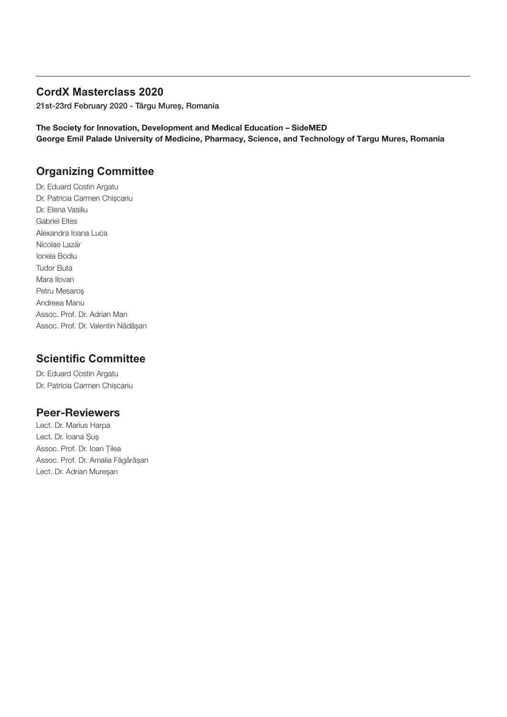# **CordX Masterclass 2020**

21st-23rd February 2020 - Târgu Mureș, Romania

The Society for Innovation, Development and Medical Education – SideMED George Emil Palade University of Medicine, Pharmacy, Science, and Technology of Targu Mures, Romania

# **Organizing Committee**

Dr. Eduard Costin Argatu Dr. Patricia Carmen Chișcariu Dr. Elena Vasiliu Gabriel Eltes Alexandra Ioana Luca Nicolae Lazăr Ionela Bodiu Tudor Buta Mara Ilovan Petru Mesaroș Andreea Manu Assoc. Prof. Dr. Adrian Man Assoc. Prof. Dr. Valentin Nădășan

# **Scientific Committee**

Dr. Eduard Costin Argatu Dr. Patricia Carmen Chișcariu

# Peer-Reviewers

Lect. Dr. Marius Harpa Lect. Dr. Ioana Șuș Assoc. Prof. Dr. Ioan Țilea Assoc. Prof. Dr. Amalia Făgărășan Lect. Dr. Adrian Mureșan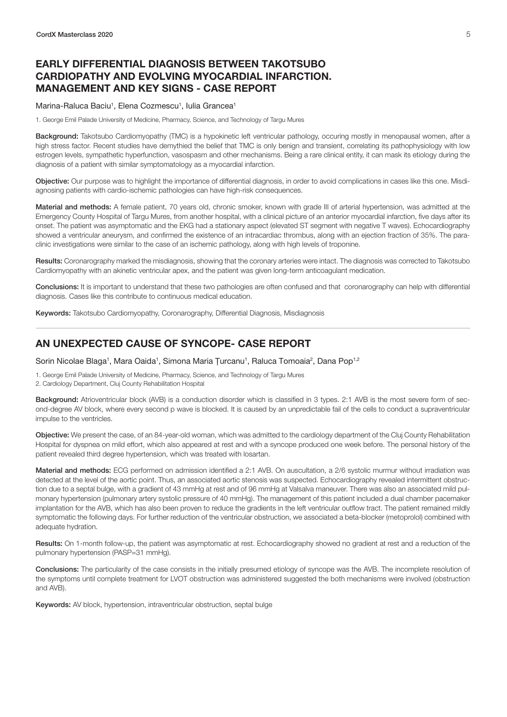# <span id="page-6-0"></span>EARLY DIFFERENTIAL DIAGNOSIS BETWEEN TAKOTSUBO CARDIOPATHY AND EVOLVING MYOCARDIAL INFARCTION. MANAGEMENT AND KEY SIGNS - CASE REPORT

#### Marina-Raluca Baciu<sup>1</sup>, Elena Cozmescu<sup>1</sup>, Iulia Grancea<sup>1</sup>

1. George Emil Palade University of Medicine, Pharmacy, Science, and Technology of Targu Mures

Background: Takotsubo Cardiomyopathy (TMC) is a hypokinetic left ventricular pathology, occuring mostly in menopausal women, after a high stress factor. Recent studies have demythied the belief that TMC is only benign and transient, correlating its pathophysiology with low estrogen levels, sympathetic hyperfunction, vasospasm and other mechanisms. Being a rare clinical entity, it can mask its etiology during the diagnosis of a patient with similar symptomatology as a myocardial infarction.

Objective: Our purpose was to highlight the importance of differential diagnosis, in order to avoid complications in cases like this one. Misdiagnosing patients with cardio-ischemic pathologies can have high-risk consequences.

Material and methods: A female patient, 70 years old, chronic smoker, known with grade III of arterial hypertension, was admitted at the Emergency County Hospital of Targu Mures, from another hospital, with a clinical picture of an anterior myocardial infarction, five days after its onset. The patient was asymptomatic and the EKG had a stationary aspect (elevated ST segment with negative T waves). Echocardiography showed a ventricular aneurysm, and confirmed the existence of an intracardiac thrombus, along with an ejection fraction of 35%. The paraclinic investigations were similar to the case of an ischemic pathology, along with high levels of troponine.

Results: Coronarography marked the misdiagnosis, showing that the coronary arteries were intact. The diagnosis was corrected to Takotsubo Cardiomyopathy with an akinetic ventricular apex, and the patient was given long-term anticoagulant medication.

Conclusions: It is important to understand that these two pathologies are often confused and that coronarography can help with differential diagnosis. Cases like this contribute to continuous medical education.

Keywords: Takotsubo Cardiomyopathy, Coronarography, Differential Diagnosis, Misdiagnosis

#### AN UNEXPECTED CAUSE OF SYNCOPE- CASE REPORT

Sorin Nicolae Blaga<sup>1</sup>, Mara Oaida<sup>1</sup>, Simona Maria Țurcanu<sup>1</sup>, Raluca Tomoaia<sup>2</sup>, Dana Pop<sup>1,2</sup>

1. George Emil Palade University of Medicine, Pharmacy, Science, and Technology of Targu Mures

2. Cardiology Department, Cluj County Rehabilitation Hospital

Background: Atrioventricular block (AVB) is a conduction disorder which is classified in 3 types. 2:1 AVB is the most severe form of second-degree AV block, where every second p wave is blocked. It is caused by an unpredictable fail of the cells to conduct a supraventricular impulse to the ventricles.

Objective: We present the case, of an 84-year-old woman, which was admitted to the cardiology department of the Cluj County Rehabilitation Hospital for dyspnea on mild effort, which also appeared at rest and with a syncope produced one week before. The personal history of the patient revealed third degree hypertension, which was treated with losartan.

Material and methods: ECG performed on admission identified a 2:1 AVB. On auscultation, a 2/6 systolic murmur without irradiation was detected at the level of the aortic point. Thus, an associated aortic stenosis was suspected. Echocardiography revealed intermittent obstruction due to a septal bulge, with a gradient of 43 mmHg at rest and of 96 mmHg at Valsalva maneuver. There was also an associated mild pulmonary hypertension (pulmonary artery systolic pressure of 40 mmHg). The management of this patient included a dual chamber pacemaker implantation for the AVB, which has also been proven to reduce the gradients in the left ventricular outflow tract. The patient remained mildly symptomatic the following days. For further reduction of the ventricular obstruction, we associated a beta-blocker (metoprolol) combined with adequate hydration.

Results: On 1-month follow-up, the patient was asymptomatic at rest. Echocardiography showed no gradient at rest and a reduction of the pulmonary hypertension (PASP=31 mmHg).

Conclusions: The particularity of the case consists in the initially presumed etiology of syncope was the AVB. The incomplete resolution of the symptoms until complete treatment for LVOT obstruction was administered suggested the both mechanisms were involved (obstruction and AVB).

Keywords: AV block, hypertension, intraventricular obstruction, septal bulge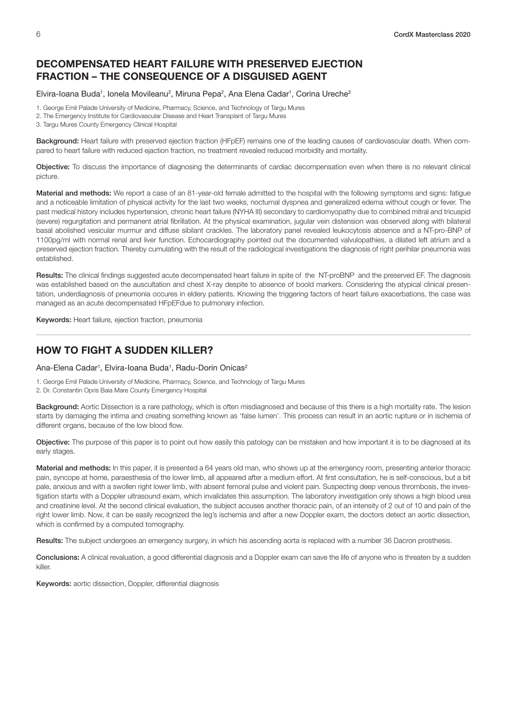# <span id="page-7-0"></span>DECOMPENSATED HEART FAILURE WITH PRESERVED EJECTION FRACTION – THE CONSEQUENCE OF A DISGUISED AGENT

#### Elvira-Ioana Buda<sup>1</sup>, Ionela Movileanu<sup>2</sup>, Miruna Pepa<sup>2</sup>, Ana Elena Cadar<sup>1</sup>, Corina Ureche<sup>3</sup>

1. George Emil Palade University of Medicine, Pharmacy, Science, and Technology of Targu Mures

- 2. The Emergency Institute for Cardiovascular Disease and Heart Transplant of Targu Mures
- 3. Targu Mures County Emergency Clinical Hospital

Background: Heart failure with preserved ejection fraction (HFpEF) remains one of the leading causes of cardiovascular death. When compared to heart failure with reduced ejaction fraction, no treatment revealed reduced morbidity and mortality.

Objective: To discuss the importance of diagnosing the determinants of cardiac decompensation even when there is no relevant clinical picture.

Material and methods: We report a case of an 81-year-old female admitted to the hospital with the following symptoms and signs: fatigue and a noticeable limitation of physical activity for the last two weeks, nocturnal dyspnea and generalized edema without cough or fever. The past medical history includes hypertension, chronic heart failure (NYHA III) secondary to cardiomyopathy due to combined mitral and tricuspid (severe) regurgitation and permanent atrial fibrillation. At the physical examination, jugular vein distension was observed along with bilateral basal abolished vesicular murmur and diffuse sibilant crackles. The laboratory panel revealed leukocytosis absence and a NT-pro-BNP of 1100pg/ml with normal renal and liver function. Echocardiography pointed out the documented valvulopathies, a dilated left atrium and a preserved ejection fraction. Thereby cumulating with the result of the radiological investigations the diagnosis of right perihilar pneumonia was established.

Results: The clinical findings suggested acute decompensated heart failure in spite of the NT-proBNP and the preserved EF. The diagnosis was established based on the auscultation and chest X-ray despite to absence of boold markers. Considering the atypical clinical presentation, underdiagnosis of pneumonia occures in eldery patients. Knowing the triggering factors of heart failure exacerbations, the case was managed as an acute decompensated HFpEFdue to pulmonary infection.

Keywords: Heart failure, ejection fraction, pneumonia

# HOW TO FIGHT A SUDDEN KILLER?

#### Ana-Elena Cadar<sup>1</sup>, Elvira-Ioana Buda<sup>1</sup>, Radu-Dorin Onicas<sup>2</sup>

1. George Emil Palade University of Medicine, Pharmacy, Science, and Technology of Targu Mures

2. Dr. Constantin Opris Baia Mare County Emergency Hospital

Background: Aortic Dissection is a rare pathology, which is often misdiagnosed and because of this there is a high mortality rate. The lesion starts by damaging the intima and creating something known as 'false lumen'. This process can result in an aortic rupture or in ischemia of different organs, because of the low blood flow.

Objective: The purpose of this paper is to point out how easily this patology can be mistaken and how important it is to be diagnosed at its early stages.

Material and methods: In this paper, it is presented a 64 years old man, who shows up at the emergency room, presenting anterior thoracic pain, syncope at home, paraesthesia of the lower limb, all appeared after a medium effort. At first consultation, he is self-conscious, but a bit pale, anxious and with a swollen right lower limb, with absent femoral pulse and violent pain. Suspecting deep venous thrombosis, the investigation starts with a Doppler ultrasound exam, which invalidates this assumption. The laboratory investigation only shows a high blood urea and creatinine level. At the second clinical evaluation, the subject accuses another thoracic pain, of an intensity of 2 out of 10 and pain of the right lower limb. Now, it can be easily recognized the leg's ischemia and after a new Doppler exam, the doctors detect an aortic dissection, which is confirmed by a computed tomography.

Results: The subject undergoes an emergency surgery, in which his ascending aorta is replaced with a number 36 Dacron prosthesis.

Conclusions: A clinical revaluation, a good differential diagnosis and a Doppler exam can save the life of anyone who is threaten by a sudden killer.

Keywords: aortic dissection, Doppler, differential diagnosis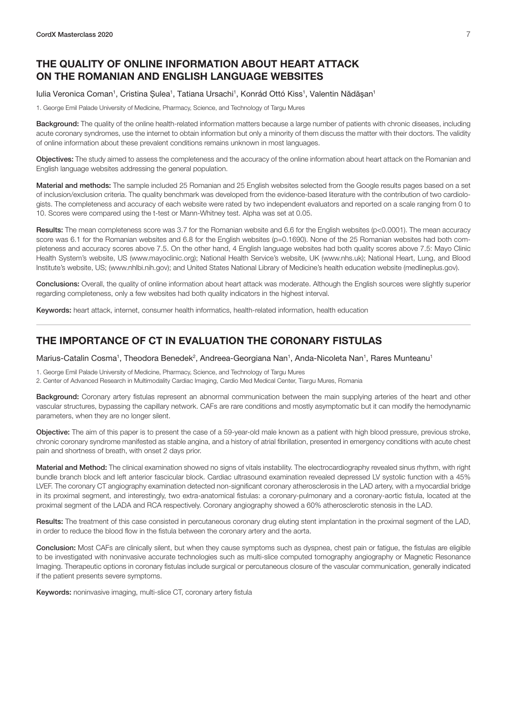# <span id="page-8-0"></span>THE QUALITY OF ONLINE INFORMATION ABOUT HEART ATTACK ON THE ROMANIAN AND ENGLISH LANGUAGE WEBSITES

#### lulia Veronica Coman<sup>1</sup>, Cristina Șulea<sup>1</sup>, Tatiana Ursachi<sup>1</sup>, Konrád Ottó Kiss<sup>1</sup>, Valentin Nădășan<sup>1</sup>

1. George Emil Palade University of Medicine, Pharmacy, Science, and Technology of Targu Mures

Background: The quality of the online health-related information matters because a large number of patients with chronic diseases, including acute coronary syndromes, use the internet to obtain information but only a minority of them discuss the matter with their doctors. The validity of online information about these prevalent conditions remains unknown in most languages.

Objectives: The study aimed to assess the completeness and the accuracy of the online information about heart attack on the Romanian and English language websites addressing the general population.

Material and methods: The sample included 25 Romanian and 25 English websites selected from the Google results pages based on a set of inclusion/exclusion criteria. The quality benchmark was developed from the evidence-based literature with the contribution of two cardiologists. The completeness and accuracy of each website were rated by two independent evaluators and reported on a scale ranging from 0 to 10. Scores were compared using the t-test or Mann-Whitney test. Alpha was set at 0.05.

Results: The mean completeness score was 3.7 for the Romanian website and 6.6 for the English websites (p<0.0001). The mean accuracy score was 6.1 for the Romanian websites and 6.8 for the English websites (p=0.1690). None of the 25 Romanian websites had both completeness and accuracy scores above 7.5. On the other hand, 4 English language websites had both quality scores above 7.5: Mayo Clinic Health System's website, US (www.mayoclinic.org); National Health Service's website, UK (www.nhs.uk); National Heart, Lung, and Blood Institute's website, US; (www.nhlbi.nih.gov); and United States National Library of Medicine's health education website (medlineplus.gov).

Conclusions: Overall, the quality of online information about heart attack was moderate. Although the English sources were slightly superior regarding completeness, only a few websites had both quality indicators in the highest interval.

Keywords: heart attack, internet, consumer health informatics, health-related information, health education

#### THE IMPORTANCE OF CT IN EVALUATION THE CORONARY FISTULAS

Marius-Catalin Cosma<sup>1</sup>, Theodora Benedek<sup>2</sup>, Andreea-Georgiana Nan<sup>1</sup>, Anda-Nicoleta Nan<sup>1</sup>, Rares Munteanu<sup>1</sup>

- 1. George Emil Palade University of Medicine, Pharmacy, Science, and Technology of Targu Mures
- 2. Center of Advanced Research in Multimodality Cardiac Imaging, Cardio Med Medical Center, Tiargu Mures, Romania

Background: Coronary artery fistulas represent an abnormal communication between the main supplying arteries of the heart and other vascular structures, bypassing the capillary network. CAFs are rare conditions and mostly asymptomatic but it can modify the hemodynamic parameters, when they are no longer silent.

Objective: The aim of this paper is to present the case of a 59-year-old male known as a patient with high blood pressure, previous stroke, chronic coronary syndrome manifested as stable angina, and a history of atrial fibrillation, presented in emergency conditions with acute chest pain and shortness of breath, with onset 2 days prior.

Material and Method: The clinical examination showed no signs of vitals instability. The electrocardiography revealed sinus rhythm, with right bundle branch block and left anterior fascicular block. Cardiac ultrasound examination revealed depressed LV systolic function with a 45% LVEF. The coronary CT angiography examination detected non-significant coronary atherosclerosis in the LAD artery, with a myocardial bridge in its proximal segment, and interestingly, two extra-anatomical fistulas: a coronary-pulmonary and a coronary-aortic fistula, located at the proximal segment of the LADA and RCA respectively. Coronary angiography showed a 60% atherosclerotic stenosis in the LAD.

Results: The treatment of this case consisted in percutaneous coronary drug eluting stent implantation in the proximal segment of the LAD, in order to reduce the blood flow in the fistula between the coronary artery and the aorta.

Conclusion: Most CAFs are clinically silent, but when they cause symptoms such as dyspnea, chest pain or fatigue, the fistulas are eligible to be investigated with noninvasive accurate technologies such as multi-slice computed tomography angiography or Magnetic Resonance Imaging. Therapeutic options in coronary fistulas include surgical or percutaneous closure of the vascular communication, generally indicated if the patient presents severe symptoms.

Keywords: noninvasive imaging, multi-slice CT, coronary artery fistula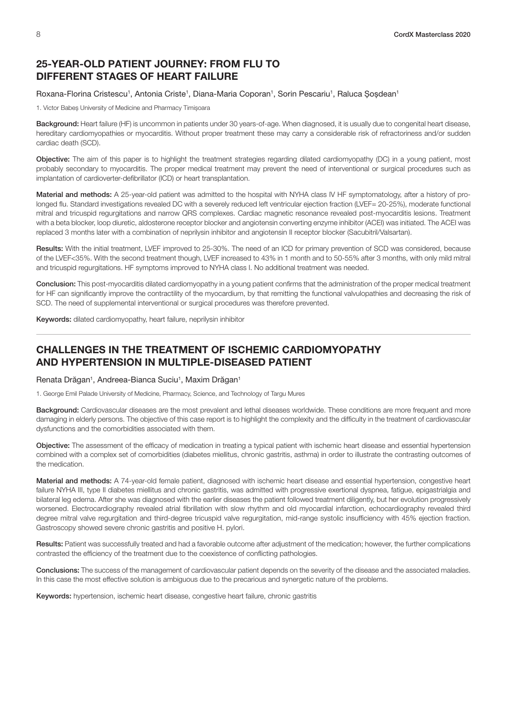## <span id="page-9-0"></span>25-YEAR-OLD PATIENT JOURNEY: FROM FLU TO DIFFERENT STAGES OF HEART FAILURE

#### Roxana-Florina Cristescu<sup>1</sup>, Antonia Criste<sup>1</sup>, Diana-Maria Coporan<sup>1</sup>, Sorin Pescariu<sup>1</sup>, Raluca Șoșdean<sup>1</sup>

1. Victor Babeș University of Medicine and Pharmacy Timișoara

Background: Heart failure (HF) is uncommon in patients under 30 years-of-age. When diagnosed, it is usually due to congenital heart disease, hereditary cardiomyopathies or myocarditis. Without proper treatment these may carry a considerable risk of refractoriness and/or sudden cardiac death (SCD).

Objective: The aim of this paper is to highlight the treatment strategies regarding dilated cardiomyopathy (DC) in a young patient, most probably secondary to myocarditis. The proper medical treatment may prevent the need of interventional or surgical procedures such as implantation of cardioverter-defibrillator (ICD) or heart transplantation.

Material and methods: A 25-year-old patient was admitted to the hospital with NYHA class IV HF symptomatology, after a history of prolonged flu. Standard investigations revealed DC with a severely reduced left ventricular ejection fraction (LVEF= 20-25%), moderate functional mitral and tricuspid regurgitations and narrow QRS complexes. Cardiac magnetic resonance revealed post-myocarditis lesions. Treatment with a beta blocker, loop diuretic, aldosterone receptor blocker and angiotensin converting enzyme inhibitor (ACEI) was initiated. The ACEI was replaced 3 months later with a combination of neprilysin inhibitor and angiotensin II receptor blocker (Sacubitril/Valsartan).

Results: With the initial treatment, LVEF improved to 25-30%. The need of an ICD for primary prevention of SCD was considered, because of the LVEF<35%. With the second treatment though, LVEF increased to 43% in 1 month and to 50-55% after 3 months, with only mild mitral and tricuspid regurgitations. HF symptoms improved to NYHA class I. No additional treatment was needed.

Conclusion: This post-myocarditis dilated cardiomyopathy in a young patient confirms that the administration of the proper medical treatment for HF can significantly improve the contractility of the myocardium, by that remitting the functional valvulopathies and decreasing the risk of SCD. The need of supplemental interventional or surgical procedures was therefore prevented.

Keywords: dilated cardiomyopathy, heart failure, neprilysin inhibitor

#### CHALLENGES IN THE TREATMENT OF ISCHEMIC CARDIOMYOPATHY AND HYPERTENSION IN MULTIPLE-DISEASED PATIENT

Renata Drăgan<sup>1</sup>, Andreea-Bianca Suciu<sup>1</sup>, Maxim Drăgan<sup>1</sup>

1. George Emil Palade University of Medicine, Pharmacy, Science, and Technology of Targu Mures

Background: Cardiovascular diseases are the most prevalent and lethal diseases worldwide. These conditions are more frequent and more damaging in elderly persons. The objective of this case report is to highlight the complexity and the difficulty in the treatment of cardiovascular dysfunctions and the comorbidities associated with them.

Objective: The assessment of the efficacy of medication in treating a typical patient with ischemic heart disease and essential hypertension combined with a complex set of comorbidities (diabetes miellitus, chronic gastritis, asthma) in order to illustrate the contrasting outcomes of the medication.

Material and methods: A 74-year-old female patient, diagnosed with ischemic heart disease and essential hypertension, congestive heart failure NYHA III, type II diabetes miellitus and chronic gastritis, was admitted with progressive exertional dyspnea, fatigue, epigastrialgia and bilateral leg edema. After she was diagnosed with the earlier diseases the patient followed treatment diligently, but her evolution progressively worsened. Electrocardiography revealed atrial fibrillation with slow rhythm and old myocardial infarction, echocardiography revealed third degree mitral valve regurgitation and third-degree tricuspid valve regurgitation, mid-range systolic insufficiency with 45% ejection fraction. Gastroscopy showed severe chronic gastritis and positive H. pylori.

Results: Patient was successfully treated and had a favorable outcome after adjustment of the medication; however, the further complications contrasted the efficiency of the treatment due to the coexistence of conflicting pathologies.

Conclusions: The success of the management of cardiovascular patient depends on the severity of the disease and the associated maladies. In this case the most effective solution is ambiguous due to the precarious and synergetic nature of the problems.

Keywords: hypertension, ischemic heart disease, congestive heart failure, chronic gastritis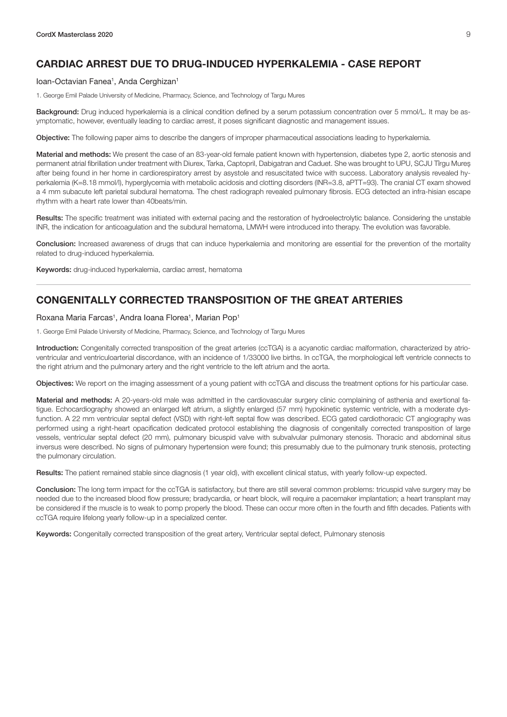# <span id="page-10-0"></span>CARDIAC ARREST DUE TO DRUG-INDUCED HYPERKALEMIA - CASE REPORT

#### Ioan-Octavian Fanea<sup>1</sup>, Anda Cerghizan<sup>1</sup>

1. George Emil Palade University of Medicine, Pharmacy, Science, and Technology of Targu Mures

Background: Drug induced hyperkalemia is a clinical condition defined by a serum potassium concentration over 5 mmol/L. It may be asymptomatic, however, eventually leading to cardiac arrest, it poses significant diagnostic and management issues.

Objective: The following paper aims to describe the dangers of improper pharmaceutical associations leading to hyperkalemia.

Material and methods: We present the case of an 83-year-old female patient known with hypertension, diabetes type 2, aortic stenosis and permanent atrial fibrillation under treatment with Diurex, Tarka, Captopril, Dabigatran and Caduet. She was brought to UPU, SCJU Tîrgu Mureș after being found in her home in cardiorespiratory arrest by asystole and resuscitated twice with success. Laboratory analysis revealed hyperkalemia (K=8.18 mmol/l), hyperglycemia with metabolic acidosis and clotting disorders (INR=3.8, aPTT=93). The cranial CT exam showed a 4 mm subacute left parietal subdural hematoma. The chest radiograph revealed pulmonary fibrosis. ECG detected an infra-hisian escape rhythm with a heart rate lower than 40beats/min.

Results: The specific treatment was initiated with external pacing and the restoration of hydroelectrolytic balance. Considering the unstable INR, the indication for anticoagulation and the subdural hematoma, LMWH were introduced into therapy. The evolution was favorable.

Conclusion: Increased awareness of drugs that can induce hyperkalemia and monitoring are essential for the prevention of the mortality related to drug-induced hyperkalemia.

Keywords: drug-induced hyperkalemia, cardiac arrest, hematoma

#### CONGENITALLY CORRECTED TRANSPOSITION OF THE GREAT ARTERIES

#### Roxana Maria Farcas<sup>1</sup>, Andra Ioana Florea<sup>1</sup>, Marian Pop<sup>1</sup>

1. George Emil Palade University of Medicine, Pharmacy, Science, and Technology of Targu Mures

Introduction: Congenitally corrected transposition of the great arteries (ccTGA) is a acyanotic cardiac malformation, characterized by atrioventricular and ventriculoarterial discordance, with an incidence of 1/33000 live births. In ccTGA, the morphological left ventricle connects to the right atrium and the pulmonary artery and the right ventricle to the left atrium and the aorta.

Objectives: We report on the imaging assessment of a young patient with ccTGA and discuss the treatment options for his particular case.

Material and methods: A 20-years-old male was admitted in the cardiovascular surgery clinic complaining of asthenia and exertional fatigue. Echocardiography showed an enlarged left atrium, a slightly enlarged (57 mm) hypokinetic systemic ventricle, with a moderate dysfunction. A 22 mm ventricular septal defect (VSD) with right-left septal flow was described. ECG gated cardiothoracic CT angiography was performed using a right-heart opacification dedicated protocol establishing the diagnosis of congenitally corrected transposition of large vessels, ventricular septal defect (20 mm), pulmonary bicuspid valve with subvalvular pulmonary stenosis. Thoracic and abdominal situs inversus were described. No signs of pulmonary hypertension were found; this presumably due to the pulmonary trunk stenosis, protecting the pulmonary circulation.

Results: The patient remained stable since diagnosis (1 year old), with excellent clinical status, with yearly follow-up expected.

Conclusion: The long term impact for the ccTGA is satisfactory, but there are still several common problems: tricuspid valve surgery may be needed due to the increased blood flow pressure; bradycardia, or heart block, will require a pacemaker implantation; a heart transplant may be considered if the muscle is to weak to pomp properly the blood. These can occur more often in the fourth and fifth decades. Patients with ccTGA require lifelong yearly follow-up in a specialized center.

Keywords: Congenitally corrected transposition of the great artery, Ventricular septal defect, Pulmonary stenosis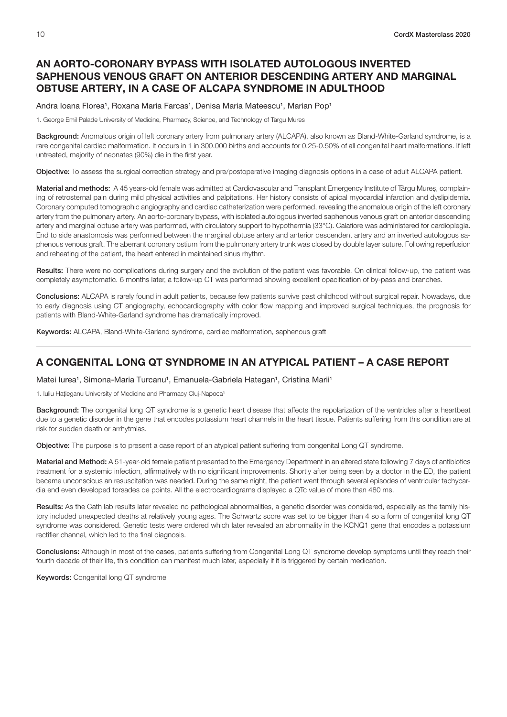# <span id="page-11-0"></span>AN AORTO-CORONARY BYPASS WITH ISOLATED AUTOLOGOUS INVERTED SAPHENOUS VENOUS GRAFT ON ANTERIOR DESCENDING ARTERY AND MARGINAL OBTUSE ARTERY, IN A CASE OF ALCAPA SYNDROME IN ADULTHOOD

#### Andra Ioana Florea<sup>1</sup>, Roxana Maria Farcas<sup>1</sup>, Denisa Maria Mateescu<sup>1</sup>, Marian Pop<sup>1</sup>

1. George Emil Palade University of Medicine, Pharmacy, Science, and Technology of Targu Mures

Background: Anomalous origin of left coronary artery from pulmonary artery (ALCAPA), also known as Bland-White-Garland syndrome, is a rare congenital cardiac malformation. It occurs in 1 in 300.000 births and accounts for 0.25-0.50% of all congenital heart malformations. If left untreated, majority of neonates (90%) die in the first year.

Objective: To assess the surgical correction strategy and pre/postoperative imaging diagnosis options in a case of adult ALCAPA patient.

Material and methods: A 45 years-old female was admitted at Cardiovascular and Transplant Emergency Institute of Târgu Mureș, complaining of retrosternal pain during mild physical activities and palpitations. Her history consists of apical myocardial infarction and dyslipidemia. Coronary computed tomographic angiography and cardiac catheterization were performed, revealing the anomalous origin of the left coronary artery from the pulmonary artery. An aorto-coronary bypass, with isolated autologous inverted saphenous venous graft on anterior descending artery and marginal obtuse artery was performed, with circulatory support to hypothermia (33°C). Calafiore was administered for cardioplegia. End to side anastomosis was performed between the marginal obtuse artery and anterior descendent artery and an inverted autologous saphenous venous graft. The aberrant coronary ostium from the pulmonary artery trunk was closed by double layer suture. Following reperfusion and reheating of the patient, the heart entered in maintained sinus rhythm.

Results: There were no complications during surgery and the evolution of the patient was favorable. On clinical follow-up, the patient was completely asymptomatic. 6 months later, a follow-up CT was performed showing excellent opacification of by-pass and branches.

Conclusions: ALCAPA is rarely found in adult patients, because few patients survive past childhood without surgical repair. Nowadays, due to early diagnosis using CT angiography, echocardiography with color flow mapping and improved surgical techniques, the prognosis for patients with Bland-White-Garland syndrome has dramatically improved.

Keywords: ALCAPA, Bland-White-Garland syndrome, cardiac malformation, saphenous graft

# A CONGENITAL LONG QT SYNDROME IN AN ATYPICAL PATIENT – A CASE REPORT

Matei lurea<sup>1</sup>, Simona-Maria Turcanu<sup>1</sup>, Emanuela-Gabriela Hategan<sup>1</sup>, Cristina Marii<sup>1</sup>

1. Iuliu Hațieganu University of Medicine and Pharmacy Cluj-Napoca<sup>1</sup>

Background: The congenital long QT syndrome is a genetic heart disease that affects the repolarization of the ventricles after a heartbeat due to a genetic disorder in the gene that encodes potassium heart channels in the heart tissue. Patients suffering from this condition are at risk for sudden death or arrhytmias.

Objective: The purpose is to present a case report of an atypical patient suffering from congenital Long QT syndrome.

Material and Method: A 51-year-old female patient presented to the Emergency Department in an altered state following 7 days of antibiotics treatment for a systemic infection, affirmatively with no significant improvements. Shortly after being seen by a doctor in the ED, the patient became unconscious an resuscitation was needed. During the same night, the patient went through several episodes of ventricular tachycardia end even developed torsades de points. All the electrocardiograms displayed a QTc value of more than 480 ms.

Results: As the Cath lab results later revealed no pathological abnormalities, a genetic disorder was considered, especially as the family history included unexpected deaths at relatively young ages. The Schwartz score was set to be bigger than 4 so a form of congenital long QT syndrome was considered. Genetic tests were ordered which later revealed an abnormality in the KCNQ1 gene that encodes a potassium rectifier channel, which led to the final diagnosis.

Conclusions: Although in most of the cases, patients suffering from Congenital Long QT syndrome develop symptoms until they reach their fourth decade of their life, this condition can manifest much later, especially if it is triggered by certain medication.

Keywords: Congenital long QT syndrome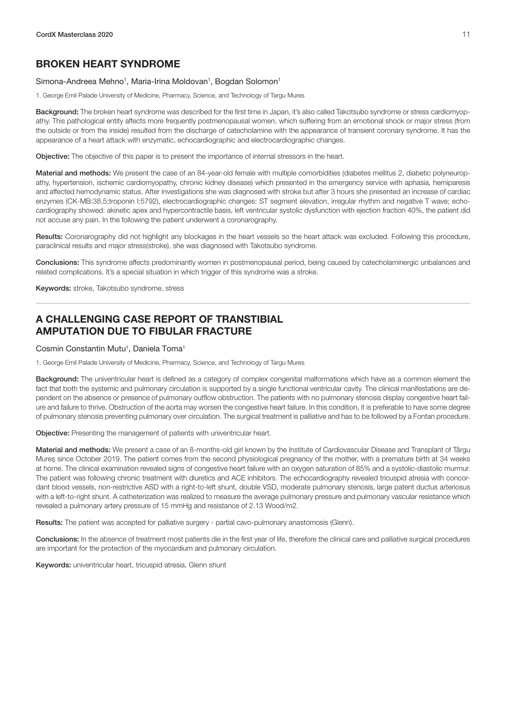# <span id="page-12-0"></span>BROKEN HEART SYNDROME

#### Simona-Andreea Mehno<sup>1</sup>, Maria-Irina Moldovan<sup>1</sup>, Bogdan Solomon<sup>1</sup>

1. George Emil Palade University of Medicine, Pharmacy, Science, and Technology of Targu Mures

Background: The broken heart syndrome was described for the first time in Japan, it's also called Takotsubo syndrome or stress cardiomyopathy. This pathological entity affects more frequently postmenopausal women, which suffering from an emotional shock or major stress (from the outside or from the inside) resulted from the discharge of catecholamine with the appearance of transient coronary syndrome. It has the appearance of a heart attack with enzymatic, echocardiographic and electrocardiographic changes.

Objective: The objective of this paper is to present the importance of internal stressors in the heart.

Material and methods: We present the case of an 84-year-old female with multiple comorbidities (diabetes mellitus 2, diabetic polyneuropathy, hypertension, ischemic cardiomyopathy, chronic kidney disease) which presented in the emergency service with aphasia, hemiparesis and affected hemodynamic status. After investigations she was diagnosed with stroke but after 3 hours she presented an increase of cardiac enzymes (CK-MB:38,5;troponin I:5792), electrocardiographic changes: ST segment elevation, irregular rhythm and negative T wave; echocardiography showed: akinetic apex and hypercontractile basis, left ventricular systolic dysfunction with ejection fraction 40%, the patient did not accuse any pain. In the following the patient underwent a coronarography.

Results: Coronarography did not highlight any blockages in the heart vessels so the heart attack was excluded. Following this procedure, paraclinical results and major stress(stroke), she was diagnosed with Takotsubo syndrome.

Conclusions: This syndrome affects predominantly women in postmenopausal period, being caused by catecholaminergic unbalances and related complications. It's a special situation in which trigger of this syndrome was a stroke.

Keywords: stroke, Takotsubo syndrome, stress

# A CHALLENGING CASE REPORT OF TRANSTIBIAL AMPUTATION DUE TO FIBULAR FRACTURE

#### Cosmin Constantin Mutu<sup>1</sup>, Daniela Toma<sup>1</sup>

1. George Emil Palade University of Medicine, Pharmacy, Science, and Technology of Targu Mures

Background: The univentricular heart is defined as a category of complex congenital malformations which have as a common element the fact that both the systemic and pulmonary circulation is supported by a single functional ventricular cavity. The clinical manifestations are dependent on the absence or presence of pulmonary outflow obstruction. The patients with no pulmonary stenosis display congestive heart failure and failure to thrive. Obstruction of the aorta may worsen the congestive heart failure. In this condition, it is preferable to have some degree of pulmonary stenosis preventing pulmonary over circulation. The surgical treatment is palliative and has to be followed by a Fontan procedure.

Objective: Presenting the management of patients with univentricular heart.

Material and methods: We present a case of an 8-months-old girl known by the Institute of Cardiovascular Disease and Transplant of Târgu Mureș since October 2019. The patient comes from the second physiological pregnancy of the mother, with a premature birth at 34 weeks at home. The clinical examination revealed signs of congestive heart failure with an oxygen saturation of 85% and a systolic-diastolic murmur. The patient was following chronic treatment with diuretics and ACE inhibitors. The echocardiography revealed tricuspid atresia with concordant blood vessels, non-restrictive ASD with a right-to-left shunt, double VSD, moderate pulmonary stenosis, large patent ductus arteriosus with a left-to-right shunt. A catheterization was realized to measure the average pulmonary pressure and pulmonary vascular resistance which revealed a pulmonary artery pressure of 15 mmHg and resistance of 2.13 Wood/m2.

Results: The patient was accepted for palliative surgery - partial cavo-pulmonary anastomosis (Glenn).

Conclusions: In the absence of treatment most patients die in the first year of life, therefore the clinical care and palliative surgical procedures are important for the protection of the myocardium and pulmonary circulation.

Keywords: univentricular heart, tricuspid atresia, Glenn shunt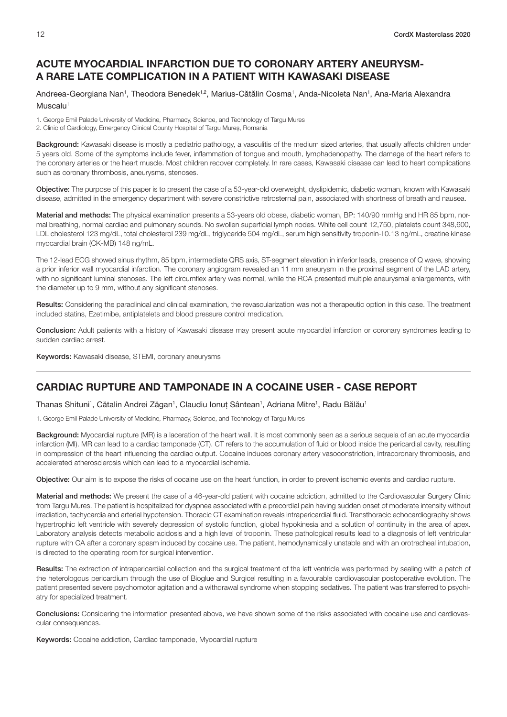# <span id="page-13-0"></span>ACUTE MYOCARDIAL INFARCTION DUE TO CORONARY ARTERY ANEURYSM-A RARE LATE COMPLICATION IN A PATIENT WITH KAWASAKI DISEASE

Andreea-Georgiana Nan<sup>1</sup>, Theodora Benedek<sup>1,2</sup>, Marius-Cătălin Cosma<sup>1</sup>, Anda-Nicoleta Nan<sup>1</sup>, Ana-Maria Alexandra Muscalu<sup>1</sup>

1. George Emil Palade University of Medicine, Pharmacy, Science, and Technology of Targu Mures 2. Clinic of Cardiology, Emergency Clinical County Hospital of Targu Mureș, Romania

Background: Kawasaki disease is mostly a pediatric pathology, a vasculitis of the medium sized arteries, that usually affects children under 5 years old. Some of the symptoms include fever, inflammation of tongue and mouth, lymphadenopathy. The damage of the heart refers to the coronary arteries or the heart muscle. Most children recover completely. In rare cases, Kawasaki disease can lead to heart complications such as coronary thrombosis, aneurysms, stenoses.

Objective: The purpose of this paper is to present the case of a 53-year-old overweight, dyslipidemic, diabetic woman, known with Kawasaki disease, admitted in the emergency department with severe constrictive retrosternal pain, associated with shortness of breath and nausea.

Material and methods: The physical examination presents a 53-years old obese, diabetic woman, BP: 140/90 mmHg and HR 85 bpm, normal breathing, normal cardiac and pulmonary sounds. No swollen superficial lymph nodes. White cell count 12,750, platelets count 348,600, LDL cholesterol 123 mg/dL, total cholesterol 239 mg/dL, triglyceride 504 mg/dL, serum high sensitivity troponin-I 0.13 ng/mL, creatine kinase myocardial brain (CK-MB) 148 ng/mL.

The 12-lead ECG showed sinus rhythm, 85 bpm, intermediate QRS axis, ST-segment elevation in inferior leads, presence of Q wave, showing a prior inferior wall myocardial infarction. The coronary angiogram revealed an 11 mm aneurysm in the proximal segment of the LAD artery, with no significant luminal stenoses. The left circumflex artery was normal, while the RCA presented multiple aneurysmal enlargements, with the diameter up to 9 mm, without any significant stenoses.

Results: Considering the paraclinical and clinical examination, the revascularization was not a therapeutic option in this case. The treatment included statins, Ezetimibe, antiplatelets and blood pressure control medication.

Conclusion: Adult patients with a history of Kawasaki disease may present acute myocardial infarction or coronary syndromes leading to sudden cardiac arrest.

Keywords: Kawasaki disease, STEMI, coronary aneurysms

# CARDIAC RUPTURE AND TAMPONADE IN A COCAINE USER - CASE REPORT

Thanas Shituni<sup>1</sup>, Cătalin Andrei Zăgan<sup>1</sup>, Claudiu Ionuț Sântean<sup>1</sup>, Adriana Mitre<sup>1</sup>, Radu Bălău<sup>1</sup>

1. George Emil Palade University of Medicine, Pharmacy, Science, and Technology of Targu Mures

Background: Myocardial rupture (MR) is a laceration of the heart wall. It is most commonly seen as a serious sequela of an acute myocardial infarction (MI). MR can lead to a cardiac tamponade (CT). CT refers to the accumulation of fluid or blood inside the pericardial cavity, resulting in compression of the heart influencing the cardiac output. Cocaine induces coronary artery vasoconstriction, intracoronary thrombosis, and accelerated atherosclerosis which can lead to a myocardial ischemia.

Objective: Our aim is to expose the risks of cocaine use on the heart function, in order to prevent ischemic events and cardiac rupture.

Material and methods: We present the case of a 46-year-old patient with cocaine addiction, admitted to the Cardiovascular Surgery Clinic from Targu Mures. The patient is hospitalized for dyspnea associated with a precordial pain having sudden onset of moderate intensity without irradiation, tachycardia and arterial hypotension. Thoracic CT examination reveals intrapericardial fluid. Transthoracic echocardiography shows hypertrophic left ventricle with severely depression of systolic function, global hypokinesia and a solution of continuity in the area of apex. Laboratory analysis detects metabolic acidosis and a high level of troponin. These pathological results lead to a diagnosis of left ventricular rupture with CA after a coronary spasm induced by cocaine use. The patient, hemodynamically unstable and with an orotracheal intubation, is directed to the operating room for surgical intervention.

Results: The extraction of intrapericardial collection and the surgical treatment of the left ventricle was performed by sealing with a patch of the heterologous pericardium through the use of Bioglue and Surgicel resulting in a favourable cardiovascular postoperative evolution. The patient presented severe psychomotor agitation and a withdrawal syndrome when stopping sedatives. The patient was transferred to psychiatry for specialized treatment.

Conclusions: Considering the information presented above, we have shown some of the risks associated with cocaine use and cardiovascular consequences.

Keywords: Cocaine addiction, Cardiac tamponade, Myocardial rupture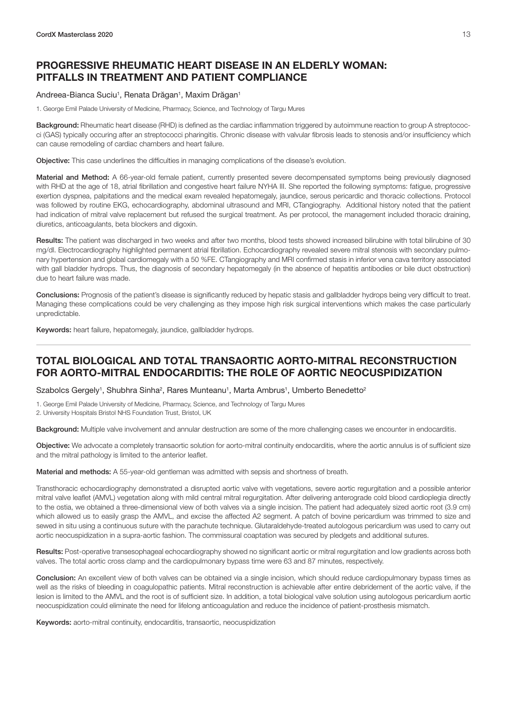# <span id="page-14-0"></span>PROGRESSIVE RHEUMATIC HEART DISEASE IN AN ELDERLY WOMAN: PITFALLS IN TREATMENT AND PATIENT COMPLIANCE

#### Andreea-Bianca Suciu<sup>1</sup>, Renata Drăgan<sup>1</sup>, Maxim Drăgan<sup>1</sup>

1. George Emil Palade University of Medicine, Pharmacy, Science, and Technology of Targu Mures

Background: Rheumatic heart disease (RHD) is defined as the cardiac inflammation triggered by autoimmune reaction to group A streptococci (GAS) typically occuring after an streptococci pharingitis. Chronic disease with valvular fibrosis leads to stenosis and/or insufficiency which can cause remodeling of cardiac chambers and heart failure.

Objective: This case underlines the difficulties in managing complications of the disease's evolution.

Material and Method: A 66-year-old female patient, currently presented severe decompensated symptoms being previously diagnosed with RHD at the age of 18, atrial fibrillation and congestive heart failure NYHA III. She reported the following symptoms: fatigue, progressive exertion dyspnea, palpitations and the medical exam revealed hepatomegaly, jaundice, serous pericardic and thoracic collections. Protocol was followed by routine EKG, echocardiography, abdominal ultrasound and MRI, CTangiography. Additional history noted that the patient had indication of mitral valve replacement but refused the surgical treatment. As per protocol, the management included thoracic draining, diuretics, anticoagulants, beta blockers and digoxin.

Results: The patient was discharged in two weeks and after two months, blood tests showed increased bilirubine with total bilirubine of 30 mg/dl. Electrocardiography highlighted permanent atrial fibrillation. Echocardiography revealed severe mitral stenosis with secondary pulmonary hypertension and global cardiomegaly with a 50 %FE. CTangiography and MRI confirmed stasis in inferior vena cava territory associated with gall bladder hydrops. Thus, the diagnosis of secondary hepatomegaly (in the absence of hepatitis antibodies or bile duct obstruction) due to heart failure was made.

Conclusions: Prognosis of the patient's disease is significantly reduced by hepatic stasis and gallbladder hydrops being very difficult to treat. Managing these complications could be very challenging as they impose high risk surgical interventions which makes the case particularly unpredictable.

Keywords: heart failure, hepatomegaly, jaundice, gallbladder hydrops.

# TOTAL BIOLOGICAL AND TOTAL TRANSAORTIC AORTO-MITRAL RECONSTRUCTION FOR AORTO-MITRAL ENDOCARDITIS: THE ROLE OF AORTIC NEOCUSPIDIZATION

Szabolcs Gergely<sup>1</sup>, Shubhra Sinha<sup>2</sup>, Rares Munteanu<sup>1</sup>, Marta Ambrus<sup>1</sup>, Umberto Benedetto<sup>2</sup>

1. George Emil Palade University of Medicine, Pharmacy, Science, and Technology of Targu Mures

2. University Hospitals Bristol NHS Foundation Trust, Bristol, UK

Background: Multiple valve involvement and annular destruction are some of the more challenging cases we encounter in endocarditis.

Objective: We advocate a completely transaortic solution for aorto-mitral continuity endocarditis, where the aortic annulus is of sufficient size and the mitral pathology is limited to the anterior leaflet.

Material and methods: A 55-year-old gentleman was admitted with sepsis and shortness of breath.

Transthoracic echocardiography demonstrated a disrupted aortic valve with vegetations, severe aortic regurgitation and a possible anterior mitral valve leaflet (AMVL) vegetation along with mild central mitral regurgitation. After delivering anterograde cold blood cardioplegia directly to the ostia, we obtained a three-dimensional view of both valves via a single incision. The patient had adequately sized aortic root (3.9 cm) which allowed us to easily grasp the AMVL, and excise the affected A2 segment. A patch of bovine pericardium was trimmed to size and sewed in situ using a continuous suture with the parachute technique. Glutaraldehyde-treated autologous pericardium was used to carry out aortic neocuspidization in a supra-aortic fashion. The commissural coaptation was secured by pledgets and additional sutures.

Results: Post-operative transesophageal echocardiography showed no significant aortic or mitral regurgitation and low gradients across both valves. The total aortic cross clamp and the cardiopulmonary bypass time were 63 and 87 minutes, respectively.

Conclusion: An excellent view of both valves can be obtained via a single incision, which should reduce cardiopulmonary bypass times as well as the risks of bleeding in coagulopathic patients. Mitral reconstruction is achievable after entire debridement of the aortic valve, if the lesion is limited to the AMVL and the root is of sufficient size. In addition, a total biological valve solution using autologous pericardium aortic neocuspidization could eliminate the need for lifelong anticoagulation and reduce the incidence of patient-prosthesis mismatch.

Keywords: aorto-mitral continuity, endocarditis, transaortic, neocuspidization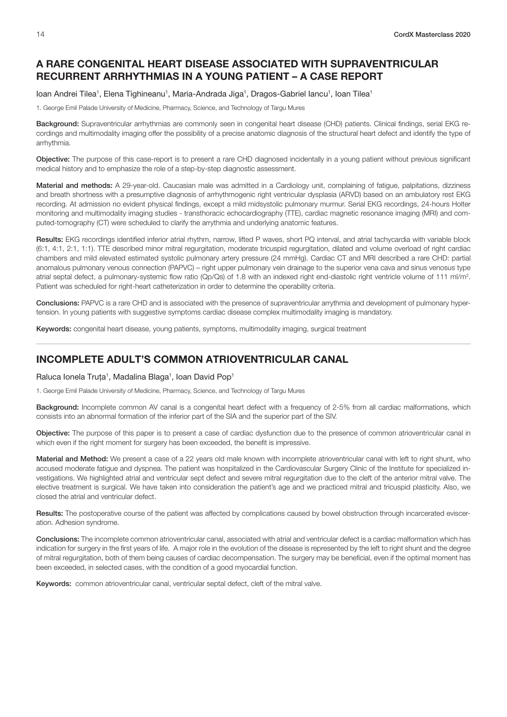# <span id="page-15-0"></span>A RARE CONGENITAL HEART DISEASE ASSOCIATED WITH SUPRAVENTRICULAR RECURRENT ARRHYTHMIAS IN A YOUNG PATIENT – A CASE REPORT

#### loan Andrei Tilea<sup>1</sup>, Elena Tighineanu<sup>1</sup>, Maria-Andrada Jiga<sup>1</sup>, Dragos-Gabriel Iancu<sup>1</sup>, Ioan Tilea<sup>1</sup>

1. George Emil Palade University of Medicine, Pharmacy, Science, and Technology of Targu Mures

Background: Supraventricular arrhythmias are commonly seen in congenital heart disease (CHD) patients. Clinical findings, serial EKG recordings and multimodality imaging offer the possibility of a precise anatomic diagnosis of the structural heart defect and identify the type of arrhythmia.

Objective: The purpose of this case-report is to present a rare CHD diagnosed incidentally in a young patient without previous significant medical history and to emphasize the role of a step-by-step diagnostic assessment.

Material and methods: A 29-year-old. Caucasian male was admitted in a Cardiology unit, complaining of fatigue, palpitations, dizziness and breath shortness with a presumptive diagnosis of arrhythmogenic right ventricular dysplasia (ARVD) based on an ambulatory rest EKG recording. At admission no evident physical findings, except a mild midsystolic pulmonary murmur. Serial EKG recordings, 24-hours Holter monitoring and multimodality imaging studies - transthoracic echocardiography (TTE), cardiac magnetic resonance imaging (MRI) and computed-tomography (CT) were scheduled to clarify the arrythmia and underlying anatomic features.

Results: EKG recordings identified inferior atrial rhythm, narrow, lifted P waves, short PQ interval, and atrial tachycardia with variable block (6:1, 4:1, 2:1, 1:1). TTE described minor mitral regurgitation, moderate tricuspid regurgitation, dilated and volume overload of right cardiac chambers and mild elevated estimated systolic pulmonary artery pressure (24 mmHg). Cardiac CT and MRI described a rare CHD: partial anomalous pulmonary venous connection (PAPVC) – right upper pulmonary vein drainage to the superior vena cava and sinus venosus type atrial septal defect, a pulmonary-systemic flow ratio (Qp/Qs) of 1.8 with an indexed right end-diastolic right ventricle volume of 111 ml/m<sup>2</sup>. Patient was scheduled for right-heart catheterization in order to determine the operability criteria.

Conclusions: PAPVC is a rare CHD and is associated with the presence of supraventricular arrythmia and development of pulmonary hypertension. In young patients with suggestive symptoms cardiac disease complex multimodality imaging is mandatory.

Keywords: congenital heart disease, young patients, symptoms, multimodality imaging, surgical treatment

# INCOMPLETE ADULT'S COMMON ATRIOVENTRICULAR CANAL

Raluca Ionela Truța<sup>1</sup>, Madalina Blaga<sup>1</sup>, Ioan David Pop<sup>1</sup>

1. George Emil Palade University of Medicine, Pharmacy, Science, and Technology of Targu Mures

Background: Incomplete common AV canal is a congenital heart defect with a frequency of 2-5% from all cardiac malformations, which consists into an abnormal formation of the inferior part of the SIA and the superior part of the SIV.

Objective: The purpose of this paper is to present a case of cardiac dysfunction due to the presence of common atrioventricular canal in which even if the right moment for surgery has been exceeded, the benefit is impressive.

Material and Method: We present a case of a 22 years old male known with incomplete atrioventricular canal with left to right shunt, who accused moderate fatigue and dyspnea. The patient was hospitalized in the Cardiovascular Surgery Clinic of the Institute for specialized investigations. We highlighted atrial and ventricular sept defect and severe mitral regurgitation due to the cleft of the anterior mitral valve. The elective treatment is surgical. We have taken into consideration the patient's age and we practiced mitral and tricuspid plasticity. Also, we closed the atrial and ventricular defect.

Results: The postoperative course of the patient was affected by complications caused by bowel obstruction through incarcerated evisceration. Adhesion syndrome.

Conclusions: The incomplete common atrioventricular canal, associated with atrial and ventricular defect is a cardiac malformation which has indication for surgery in the first years of life. A major role in the evolution of the disease is represented by the left to right shunt and the degree of mitral regurgitation, both of them being causes of cardiac decompensation. The surgery may be beneficial, even if the optimal moment has been exceeded, in selected cases, with the condition of a good myocardial function.

Keywords: common atrioventricular canal, ventricular septal defect, cleft of the mitral valve.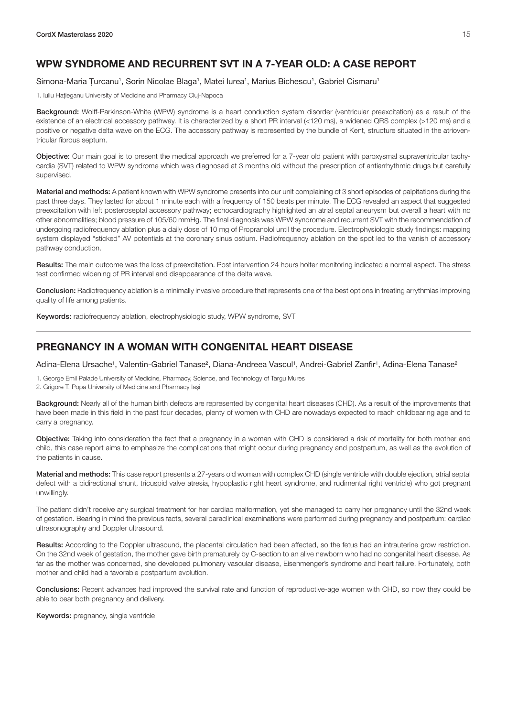# <span id="page-16-0"></span>WPW SYNDROME AND RECURRENT SVT IN A 7-YEAR OLD: A CASE REPORT

#### Simona-Maria Țurcanu<sup>1</sup>, Sorin Nicolae Blaga<sup>1</sup>, Matei Iurea<sup>1</sup>, Marius Bichescu<sup>1</sup>, Gabriel Cismaru<sup>1</sup>

1. Iuliu Hațieganu University of Medicine and Pharmacy Cluj-Napoca

Background: Wolff-Parkinson-White (WPW) syndrome is a heart conduction system disorder (ventricular preexcitation) as a result of the existence of an electrical accessory pathway. It is characterized by a short PR interval (<120 ms), a widened QRS complex (>120 ms) and a positive or negative delta wave on the ECG. The accessory pathway is represented by the bundle of Kent, structure situated in the atrioventricular fibrous septum.

Objective: Our main goal is to present the medical approach we preferred for a 7-year old patient with paroxysmal supraventricular tachycardia (SVT) related to WPW syndrome which was diagnosed at 3 months old without the prescription of antiarrhythmic drugs but carefully supervised.

Material and methods: A patient known with WPW syndrome presents into our unit complaining of 3 short episodes of palpitations during the past three days. They lasted for about 1 minute each with a frequency of 150 beats per minute. The ECG revealed an aspect that suggested preexcitation with left posteroseptal accessory pathway; echocardiography highlighted an atrial septal aneurysm but overall a heart with no other abnormalities; blood pressure of 105/60 mmHg. The final diagnosis was WPW syndrome and recurrent SVT with the recommendation of undergoing radiofrequency ablation plus a daily dose of 10 mg of Propranolol until the procedure. Electrophysiologic study findings: mapping system displayed "sticked" AV potentials at the coronary sinus ostium. Radiofrequency ablation on the spot led to the vanish of accessory pathway conduction.

Results: The main outcome was the loss of preexcitation. Post intervention 24 hours holter monitoring indicated a normal aspect. The stress test confirmed widening of PR interval and disappearance of the delta wave.

Conclusion: Radiofrequency ablation is a minimally invasive procedure that represents one of the best options in treating arrythmias improving quality of life among patients.

Keywords: radiofrequency ablation, electrophysiologic study, WPW syndrome, SVT

#### PREGNANCY IN A WOMAN WITH CONGENITAL HEART DISEASE

Adina-Elena Ursache<sup>1</sup>, Valentin-Gabriel Tanase<sup>2</sup>, Diana-Andreea Vascul<sup>1</sup>, Andrei-Gabriel Zanfir<sup>1</sup>, Adina-Elena Tanase<sup>2</sup>

1. George Emil Palade University of Medicine, Pharmacy, Science, and Technology of Targu Mures 2. Grigore T. Popa University of Medicine and Pharmacy Iași

Background: Nearly all of the human birth defects are represented by congenital heart diseases (CHD). As a result of the improvements that have been made in this field in the past four decades, plenty of women with CHD are nowadays expected to reach childbearing age and to carry a pregnancy.

Objective: Taking into consideration the fact that a pregnancy in a woman with CHD is considered a risk of mortality for both mother and child, this case report aims to emphasize the complications that might occur during pregnancy and postpartum, as well as the evolution of the patients in cause.

Material and methods: This case report presents a 27-years old woman with complex CHD (single ventricle with double ejection, atrial septal defect with a bidirectional shunt, tricuspid valve atresia, hypoplastic right heart syndrome, and rudimental right ventricle) who got pregnant unwillingly.

The patient didn't receive any surgical treatment for her cardiac malformation, yet she managed to carry her pregnancy until the 32nd week of gestation. Bearing in mind the previous facts, several paraclinical examinations were performed during pregnancy and postpartum: cardiac ultrasonography and Doppler ultrasound.

Results: According to the Doppler ultrasound, the placental circulation had been affected, so the fetus had an intrauterine grow restriction. On the 32nd week of gestation, the mother gave birth prematurely by C-section to an alive newborn who had no congenital heart disease. As far as the mother was concerned, she developed pulmonary vascular disease, Eisenmenger's syndrome and heart failure. Fortunately, both mother and child had a favorable postpartum evolution.

Conclusions: Recent advances had improved the survival rate and function of reproductive-age women with CHD, so now they could be able to bear both pregnancy and delivery.

Keywords: pregnancy, single ventricle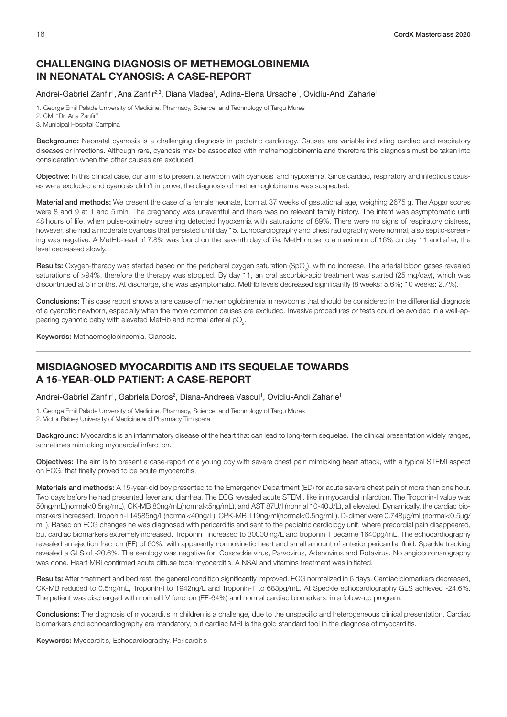#### <span id="page-17-0"></span>CHALLENGING DIAGNOSIS OF METHEMOGLOBINEMIA IN NEONATAL CYANOSIS: A CASE-REPORT

#### Andrei-Gabriel Zanfir<sup>1</sup>, Ana Zanfir<sup>2,3</sup>, Diana Vladea<sup>1</sup>, Adina-Elena Ursache<sup>1</sup>, Ovidiu-Andi Zaharie<sup>1</sup>

1. George Emil Palade University of Medicine, Pharmacy, Science, and Technology of Targu Mures

2. CMI "Dr. Ana Zanfir"

3. Municipal Hospital Campina

Background: Neonatal cyanosis is a challenging diagnosis in pediatric cardiology. Causes are variable including cardiac and respiratory diseases or infections. Although rare, cyanosis may be associated with methemoglobinemia and therefore this diagnosis must be taken into consideration when the other causes are excluded.

Objective: In this clinical case, our aim is to present a newborn with cyanosis and hypoxemia. Since cardiac, respiratory and infectious causes were excluded and cyanosis didn't improve, the diagnosis of methemoglobinemia was suspected.

Material and methods: We present the case of a female neonate, born at 37 weeks of gestational age, weighing 2675 g. The Apgar scores were 8 and 9 at 1 and 5 min. The pregnancy was uneventful and there was no relevant family history. The infant was asymptomatic until 48 hours of life, when pulse-oximetry screening detected hypoxemia with saturations of 89%. There were no signs of respiratory distress, however, she had a moderate cyanosis that persisted until day 15. Echocardiography and chest radiography were normal, also septic-screening was negative. A MetHb-level of 7.8% was found on the seventh day of life. MetHb rose to a maximum of 16% on day 11 and after, the level decreased slowly.

Results: Oxygen-therapy was started based on the peripheral oxygen saturation (SpO<sub>2</sub>), with no increase. The arterial blood gases revealed saturations of >94%, therefore the therapy was stopped. By day 11, an oral ascorbic-acid treatment was started (25 mg/day), which was discontinued at 3 months. At discharge, she was asymptomatic. MetHb levels decreased significantly (8 weeks: 5.6%; 10 weeks: 2.7%).

Conclusions: This case report shows a rare cause of methemoglobinemia in newborns that should be considered in the differential diagnosis of a cyanotic newborn, especially when the more common causes are excluded. Invasive procedures or tests could be avoided in a well-appearing cyanotic baby with elevated MetHb and normal arterial p $\mathrm{O}_{2}^{\mathrm{}}$ .

Keywords: Methaemoglobinaemia, Cianosis.

#### MISDIAGNOSED MYOCARDITIS AND ITS SEQUELAE TOWARDS A 15-YEAR-OLD PATIENT: A CASE-REPORT

Andrei-Gabriel Zanfir<sup>1</sup>, Gabriela Doros<sup>2</sup>, Diana-Andreea Vascul<sup>1</sup>, Ovidiu-Andi Zaharie<sup>1</sup>

1. George Emil Palade University of Medicine, Pharmacy, Science, and Technology of Targu Mures 2. Victor Babeș University of Medicine and Pharmacy Timișoara

Background: Myocarditis is an inflammatory disease of the heart that can lead to long-term sequelae. The clinical presentation widely ranges, sometimes mimicking myocardial infarction.

Objectives: The aim is to present a case-report of a young boy with severe chest pain mimicking heart attack, with a typical STEMI aspect on ECG, that finally proved to be acute myocarditis.

Materials and methods: A 15-year-old boy presented to the Emergency Department (ED) for acute severe chest pain of more than one hour. Two days before he had presented fever and diarrhea. The ECG revealed acute STEMI, like in myocardial infarction. The Troponin-I value was 50ng/mL(normal<0.5ng/mL), CK-MB 80ng/mL(normal<5ng/mL), and AST 87U/I (normal 10-40U/L), all elevated. Dynamically, the cardiac biomarkers increased: Troponin-I 14585ng/L(normal<40ng/L), CPK-MB 119ng/ml(normal<0.5ng/mL). D-dimer were 0.748μg/mL(normal<0.5μg/ mL). Based on ECG changes he was diagnosed with pericarditis and sent to the pediatric cardiology unit, where precordial pain disappeared, but cardiac biomarkers extremely increased. Troponin I increased to 30000 ng/L and troponin T became 1640pg/mL. The echocardiography revealed an ejection fraction (EF) of 60%, with apparently normokinetic heart and small amount of anterior pericardial fluid. Speckle tracking revealed a GLS of -20.6%. The serology was negative for: Coxsackie virus, Parvovirus, Adenovirus and Rotavirus. No angiocoronarography was done. Heart MRI confirmed acute diffuse focal myocarditis. A NSAI and vitamins treatment was initiated.

Results: After treatment and bed rest, the general condition significantly improved. ECG normalized in 6 days. Cardiac biomarkers decreased, CK-MB reduced to 0.5ng/mL, Troponin-I to 1942ng/L and Troponin-T to 683pg/mL. At Speckle echocardiography GLS achieved -24.6%. The patient was discharged with normal LV function (EF-64%) and normal cardiac biomarkers, in a follow-up program.

Conclusions: The diagnosis of myocarditis in children is a challenge, due to the unspecific and heterogeneous clinical presentation. Cardiac biomarkers and echocardiography are mandatory, but cardiac MRI is the gold standard tool in the diagnose of myocarditis.

Keywords: Myocarditis, Echocardiography, Pericarditis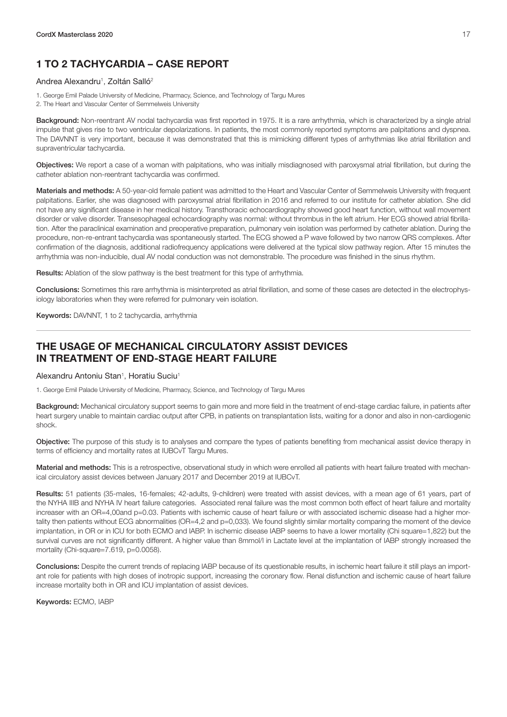# <span id="page-18-0"></span>1 TO 2 TACHYCARDIA – CASE REPORT

#### Andrea Alexandru<sup>1</sup>, Zoltán Salló<sup>2</sup>

1. George Emil Palade University of Medicine, Pharmacy, Science, and Technology of Targu Mures

2. The Heart and Vascular Center of Semmelweis University

Background: Non-reentrant AV nodal tachycardia was first reported in 1975. It is a rare arrhythmia, which is characterized by a single atrial impulse that gives rise to two ventricular depolarizations. In patients, the most commonly reported symptoms are palpitations and dyspnea. The DAVNNT is very important, because it was demonstrated that this is mimicking different types of arrhythmias like atrial fibrillation and supraventricular tachycardia.

Objectives: We report a case of a woman with palpitations, who was initially misdiagnosed with paroxysmal atrial fibrillation, but during the catheter ablation non-reentrant tachycardia was confirmed.

Materials and methods: A 50-year-old female patient was admitted to the Heart and Vascular Center of Semmelweis University with frequent palpitations. Earlier, she was diagnosed with paroxysmal atrial fibrillation in 2016 and referred to our institute for catheter ablation. She did not have any significant disease in her medical history. Transthoracic echocardiography showed good heart function, without wall movement disorder or valve disorder. Transesophageal echocardiography was normal: without thrombus in the left atrium. Her ECG showed atrial fibrillation. After the paraclinical examination and preoperative preparation, pulmonary vein isolation was performed by catheter ablation. During the procedure, non-re-entrant tachycardia was spontaneously started. The ECG showed a P wave followed by two narrow QRS complexes. After confirmation of the diagnosis, additional radiofrequency applications were delivered at the typical slow pathway region. After 15 minutes the arrhythmia was non-inducible, dual AV nodal conduction was not demonstrable. The procedure was finished in the sinus rhythm.

Results: Ablation of the slow pathway is the best treatment for this type of arrhythmia.

Conclusions: Sometimes this rare arrhythmia is misinterpreted as atrial fibrillation, and some of these cases are detected in the electrophysiology laboratories when they were referred for pulmonary vein isolation.

Keywords: DAVNNT, 1 to 2 tachycardia, arrhythmia

#### THE USAGE OF MECHANICAL CIRCULATORY ASSIST DEVICES IN TREATMENT OF END-STAGE HEART FAILURE

#### Alexandru Antoniu Stan<sup>1</sup>, Horatiu Suciu<sup>1</sup>

1. George Emil Palade University of Medicine, Pharmacy, Science, and Technology of Targu Mures

Background: Mechanical circulatory support seems to gain more and more field in the treatment of end-stage cardiac failure, in patients after heart surgery unable to maintain cardiac output after CPB, in patients on transplantation lists, waiting for a donor and also in non-cardiogenic shock.

Objective: The purpose of this study is to analyses and compare the types of patients benefiting from mechanical assist device therapy in terms of efficiency and mortality rates at IUBCvT Targu Mures.

Material and methods: This is a retrospective, observational study in which were enrolled all patients with heart failure treated with mechanical circulatory assist devices between January 2017 and December 2019 at IUBCvT.

Results: 51 patients (35-males, 16-females; 42-adults, 9-children) were treated with assist devices, with a mean age of 61 years, part of the NYHA IIIB and NYHA IV heart failure categories. Associated renal failure was the most common both effect of heart failure and mortality increaser with an OR=4,00and p=0.03. Patients with ischemic cause of heart failure or with associated ischemic disease had a higher mortality then patients without ECG abnormalities (OR=4,2 and p=0,033). We found slightly similar mortality comparing the moment of the device implantation, in OR or in ICU for both ECMO and IABP. In ischemic disease IABP seems to have a lower mortality (Chi square=1,822) but the survival curves are not significantly different. A higher value than 8mmol/l in Lactate level at the implantation of IABP strongly increased the mortality (Chi-square=7.619, p=0.0058).

Conclusions: Despite the current trends of replacing IABP because of its questionable results, in ischemic heart failure it still plays an important role for patients with high doses of inotropic support, increasing the coronary flow. Renal disfunction and ischemic cause of heart failure increase mortality both in OR and ICU implantation of assist devices.

Keywords: ECMO, IABP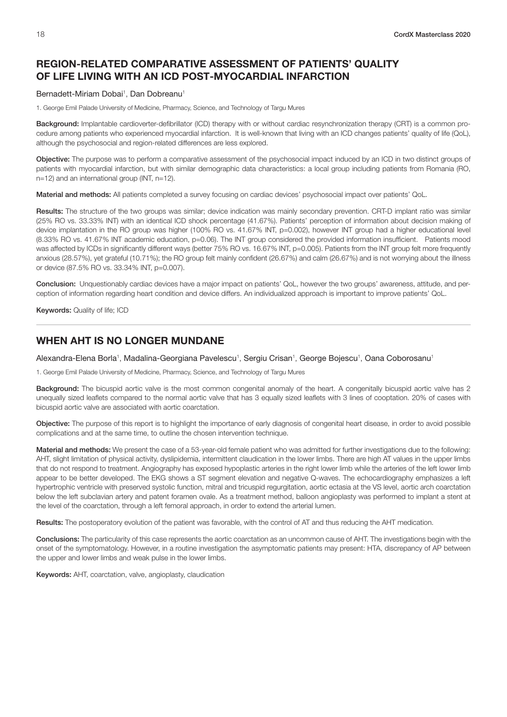# <span id="page-19-0"></span>REGION-RELATED COMPARATIVE ASSESSMENT OF PATIENTS' QUALITY OF LIFE LIVING WITH AN ICD POST-MYOCARDIAL INFARCTION

#### Bernadett-Miriam Dobai<sup>1</sup>, Dan Dobreanu<sup>1</sup>

1. George Emil Palade University of Medicine, Pharmacy, Science, and Technology of Targu Mures

Background: Implantable cardioverter-defibrillator (ICD) therapy with or without cardiac resynchronization therapy (CRT) is a common procedure among patients who experienced myocardial infarction. It is well-known that living with an ICD changes patients' quality of life (QoL), although the psychosocial and region-related differences are less explored.

Objective: The purpose was to perform a comparative assessment of the psychosocial impact induced by an ICD in two distinct groups of patients with myocardial infarction, but with similar demographic data characteristics: a local group including patients from Romania (RO, n=12) and an international group (INT, n=12).

Material and methods: All patients completed a survey focusing on cardiac devices' psychosocial impact over patients' QoL.

Results: The structure of the two groups was similar; device indication was mainly secondary prevention. CRT-D implant ratio was similar (25% RO vs. 33.33% INT) with an identical ICD shock percentage (41.67%). Patients' perception of information about decision making of device implantation in the RO group was higher (100% RO vs. 41.67% INT, p=0.002), however INT group had a higher educational level (8.33% RO vs. 41.67% INT academic education, p=0.06). The INT group considered the provided information insufficient. Patients mood was affected by ICDs in significantly different ways (better 75% RO vs. 16.67% INT, p=0.005). Patients from the INT group felt more frequently anxious (28.57%), yet grateful (10.71%); the RO group felt mainly confident (26.67%) and calm (26.67%) and is not worrying about the illness or device (87.5% RO vs. 33.34% INT, p=0.007).

Conclusion: Unquestionably cardiac devices have a major impact on patients' QoL, however the two groups' awareness, attitude, and perception of information regarding heart condition and device differs. An individualized approach is important to improve patients' QoL.

Keywords: Quality of life; ICD

#### WHEN AHT IS NO LONGER MUNDANE

Alexandra-Elena Borla1, Madalina-Georgiana Pavelescu1, Sergiu Crisan1, George Bojescu1, Oana Coborosanu1

1. George Emil Palade University of Medicine, Pharmacy, Science, and Technology of Targu Mures

Background: The bicuspid aortic valve is the most common congenital anomaly of the heart. A congenitally bicuspid aortic valve has 2 unequally sized leaflets compared to the normal aortic valve that has 3 equally sized leaflets with 3 lines of cooptation. 20% of cases with bicuspid aortic valve are associated with aortic coarctation.

Objective: The purpose of this report is to highlight the importance of early diagnosis of congenital heart disease, in order to avoid possible complications and at the same time, to outline the chosen intervention technique.

Material and methods: We present the case of a 53-year-old female patient who was admitted for further investigations due to the following: AHT, slight limitation of physical activity, dyslipidemia, intermittent claudication in the lower limbs. There are high AT values in the upper limbs that do not respond to treatment. Angiography has exposed hypoplastic arteries in the right lower limb while the arteries of the left lower limb appear to be better developed. The EKG shows a ST segment elevation and negative Q-waves. The echocardiography emphasizes a left hypertrophic ventricle with preserved systolic function, mitral and tricuspid regurgitation, aortic ectasia at the VS level, aortic arch coarctation below the left subclavian artery and patent foramen ovale. As a treatment method, balloon angioplasty was performed to implant a stent at the level of the coarctation, through a left femoral approach, in order to extend the arterial lumen.

Results: The postoperatory evolution of the patient was favorable, with the control of AT and thus reducing the AHT medication.

Conclusions: The particularity of this case represents the aortic coarctation as an uncommon cause of AHT. The investigations begin with the onset of the symptomatology. However, in a routine investigation the asymptomatic patients may present: HTA, discrepancy of AP between the upper and lower limbs and weak pulse in the lower limbs.

Keywords: AHT, coarctation, valve, angioplasty, claudication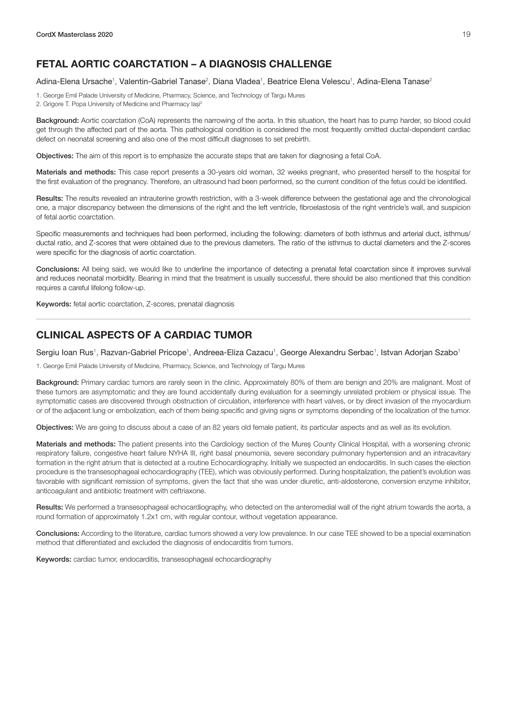# <span id="page-20-0"></span>FETAL AORTIC COARCTATION – A DIAGNOSIS CHALLENGE

Adina-Elena Ursache<sup>1</sup>, Valentin-Gabriel Tanase<sup>2</sup>, Diana Vladea<sup>1</sup>, Beatrice Elena Velescu<sup>1</sup>, Adina-Elena Tanase<sup>2</sup>

1. George Emil Palade University of Medicine, Pharmacy, Science, and Technology of Targu Mures 2. Grigore T. Popa University of Medicine and Pharmacy lași<sup>2</sup>

Background: Aortic coarctation (CoA) represents the narrowing of the aorta. In this situation, the heart has to pump harder, so blood could get through the affected part of the aorta. This pathological condition is considered the most frequently omitted ductal-dependent cardiac defect on neonatal screening and also one of the most difficult diagnoses to set prebirth.

Objectives: The aim of this report is to emphasize the accurate steps that are taken for diagnosing a fetal CoA.

Materials and methods: This case report presents a 30-years old woman, 32 weeks pregnant, who presented herself to the hospital for the first evaluation of the pregnancy. Therefore, an ultrasound had been performed, so the current condition of the fetus could be identified.

Results: The results revealed an intrauterine growth restriction, with a 3-week difference between the gestational age and the chronological one, a major discrepancy between the dimensions of the right and the left ventricle, fibroelastosis of the right ventricle's wall, and suspicion of fetal aortic coarctation.

Specific measurements and techniques had been performed, including the following: diameters of both isthmus and arterial duct, isthmus/ ductal ratio, and Z-scores that were obtained due to the previous diameters. The ratio of the isthmus to ductal diameters and the Z-scores were specific for the diagnosis of aortic coarctation.

Conclusions: All being said, we would like to underline the importance of detecting a prenatal fetal coarctation since it improves survival and reduces neonatal morbidity. Bearing in mind that the treatment is usually successful, there should be also mentioned that this condition requires a careful lifelong follow-up.

Keywords: fetal aortic coarctation, Z-scores, prenatal diagnosis

#### CLINICAL ASPECTS OF A CARDIAC TUMOR

Sergiu Ioan Rus<sup>1</sup>, Razvan-Gabriel Pricope<sup>1</sup>, Andreea-Eliza Cazacu<sup>1</sup>, George Alexandru Serbac<sup>1</sup>, Istvan Adorjan Szabo<sup>1</sup>

1. George Emil Palade University of Medicine, Pharmacy, Science, and Technology of Targu Mures

Background: Primary cardiac tumors are rarely seen in the clinic. Approximately 80% of them are benign and 20% are malignant. Most of these tumors are asymptomatic and they are found accidentally during evaluation for a seemingly unrelated problem or physical issue. The symptomatic cases are discovered through obstruction of circulation, interference with heart valves, or by direct invasion of the myocardium or of the adjacent lung or embolization, each of them being specific and giving signs or symptoms depending of the localization of the tumor.

Objectives: We are going to discuss about a case of an 82 years old female patient, its particular aspects and as well as its evolution.

Materials and methods: The patient presents into the Cardiology section of the Mureș County Clinical Hospital, with a worsening chronic respiratory failure, congestive heart failure NYHA III, right basal pneumonia, severe secondary pulmonary hypertension and an intracavitary formation in the right atrium that is detected at a routine Echocardiography. Initially we suspected an endocarditis. In such cases the election procedure is the transesophageal echocardiography (TEE), which was obviously performed. During hospitalization, the patient's evolution was favorable with significant remission of symptoms, given the fact that she was under diuretic, anti-aldosterone, conversion enzyme inhibitor, anticoagulant and antibiotic treatment with ceftriaxone.

Results: We performed a transesophageal echocardiography, who detected on the anteromedial wall of the right atrium towards the aorta, a round formation of approximately 1.2x1 cm, with regular contour, without vegetation appearance.

Conclusions: According to the literature, cardiac tumors showed a very low prevalence. In our case TEE showed to be a special examination method that differentiated and excluded the diagnosis of endocarditis from tumors.

Keywords: cardiac tumor, endocarditis, transesophageal echocardiography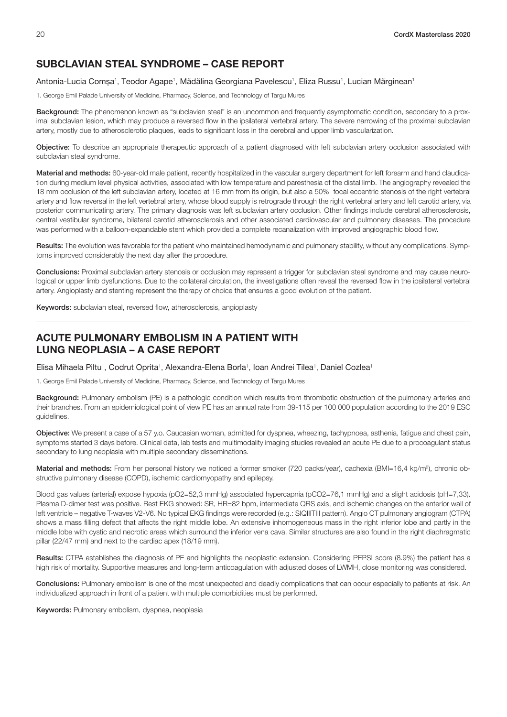#### <span id="page-21-0"></span>SUBCLAVIAN STEAL SYNDROME – CASE REPORT

#### Antonia-Lucia Comșa<sup>1</sup>, Teodor Agape<sup>1</sup>, Mădălina Georgiana Pavelescu<sup>1</sup>, Eliza Russu<sup>1</sup>, Lucian Mărginean<sup>1</sup>

1. George Emil Palade University of Medicine, Pharmacy, Science, and Technology of Targu Mures

Background: The phenomenon known as "subclavian steal" is an uncommon and frequently asymptomatic condition, secondary to a proximal subclavian lesion, which may produce a reversed flow in the ipsilateral vertebral artery. The severe narrowing of the proximal subclavian artery, mostly due to atherosclerotic plaques, leads to significant loss in the cerebral and upper limb vascularization.

Objective: To describe an appropriate therapeutic approach of a patient diagnosed with left subclavian artery occlusion associated with subclavian steal syndrome.

Material and methods: 60-year-old male patient, recently hospitalized in the vascular surgery department for left forearm and hand claudication during medium level physical activities, associated with low temperature and paresthesia of the distal limb. The angiography revealed the 18 mm occlusion of the left subclavian artery, located at 16 mm from its origin, but also a 50% focal eccentric stenosis of the right vertebral artery and flow reversal in the left vertebral artery, whose blood supply is retrograde through the right vertebral artery and left carotid artery, via posterior communicating artery. The primary diagnosis was left subclavian artery occlusion. Other findings include cerebral atherosclerosis, central vestibular syndrome, bilateral carotid atherosclerosis and other associated cardiovascular and pulmonary diseases. The procedure was performed with a balloon-expandable stent which provided a complete recanalization with improved angiographic blood flow.

Results: The evolution was favorable for the patient who maintained hemodynamic and pulmonary stability, without any complications. Symptoms improved considerably the next day after the procedure.

Conclusions: Proximal subclavian artery stenosis or occlusion may represent a trigger for subclavian steal syndrome and may cause neurological or upper limb dysfunctions. Due to the collateral circulation, the investigations often reveal the reversed flow in the ipsilateral vertebral artery. Angioplasty and stenting represent the therapy of choice that ensures a good evolution of the patient.

Keywords: subclavian steal, reversed flow, atherosclerosis, angioplasty

#### ACUTE PULMONARY EMBOLISM IN A PATIENT WITH LUNG NEOPLASIA – A CASE REPORT

Elisa Mihaela Piltu<sup>1</sup>, Codrut Oprita<sup>1</sup>, Alexandra-Elena Borla<sup>1</sup>, Ioan Andrei Tilea<sup>1</sup>, Daniel Cozlea<sup>1</sup>

1. George Emil Palade University of Medicine, Pharmacy, Science, and Technology of Targu Mures

Background: Pulmonary embolism (PE) is a pathologic condition which results from thrombotic obstruction of the pulmonary arteries and their branches. From an epidemiological point of view PE has an annual rate from 39-115 per 100 000 population according to the 2019 ESC guidelines.

Objective: We present a case of a 57 y.o. Caucasian woman, admitted for dyspnea, wheezing, tachypnoea, asthenia, fatigue and chest pain, symptoms started 3 days before. Clinical data, lab tests and multimodality imaging studies revealed an acute PE due to a procoagulant status secondary to lung neoplasia with multiple secondary disseminations.

Material and methods: From her personal history we noticed a former smoker (720 packs/year), cachexia (BMI=16,4 kg/m<sup>2</sup>), chronic obstructive pulmonary disease (COPD), ischemic cardiomyopathy and epilepsy.

Blood gas values (arterial) expose hypoxia (pO2=52,3 mmHg) associated hypercapnia (pCO2=76,1 mmHg) and a slight acidosis (pH=7,33). Plasma D-dimer test was positive. Rest EKG showed: SR, HR=82 bpm, intermediate QRS axis, and ischemic changes on the anterior wall of left ventricle – negative T-waves V2-V6. No typical EKG findings were recorded (e.g.: SIQIIITIII pattern). Angio CT pulmonary angiogram (CTPA) shows a mass filling defect that affects the right middle lobe. An extensive inhomogeneous mass in the right inferior lobe and partly in the middle lobe with cystic and necrotic areas which surround the inferior vena cava. Similar structures are also found in the right diaphragmatic pillar (22/47 mm) and next to the cardiac apex (18/19 mm).

Results: CTPA establishes the diagnosis of PE and highlights the neoplastic extension. Considering PEPSI score (8.9%) the patient has a high risk of mortality. Supportive measures and long-term anticoagulation with adjusted doses of LWMH, close monitoring was considered.

Conclusions: Pulmonary embolism is one of the most unexpected and deadly complications that can occur especially to patients at risk. An individualized approach in front of a patient with multiple comorbidities must be performed.

Keywords: Pulmonary embolism, dyspnea, neoplasia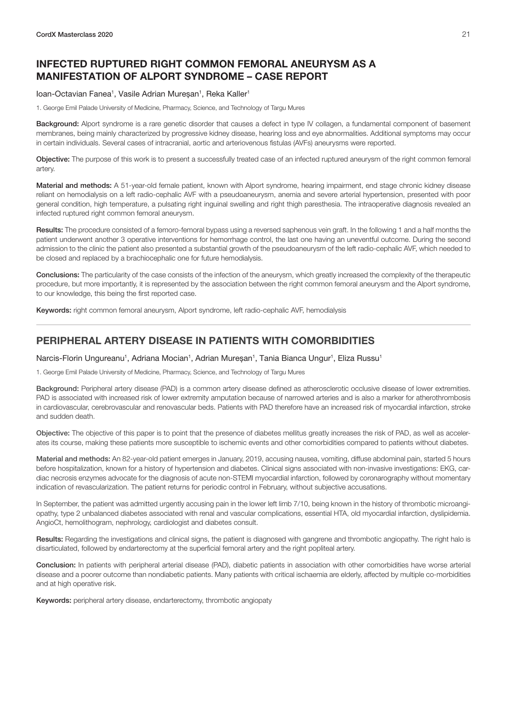# <span id="page-22-0"></span>INFECTED RUPTURED RIGHT COMMON FEMORAL ANEURYSM AS A MANIFESTATION OF ALPORT SYNDROME – CASE REPORT

#### loan-Octavian Fanea<sup>1</sup>, Vasile Adrian Mureșan<sup>1</sup>, Reka Kaller<sup>1</sup>

1. George Emil Palade University of Medicine, Pharmacy, Science, and Technology of Targu Mures

Background: Alport syndrome is a rare genetic disorder that causes a defect in type IV collagen, a fundamental component of basement membranes, being mainly characterized by progressive kidney disease, hearing loss and eye abnormalities. Additional symptoms may occur in certain individuals. Several cases of intracranial, aortic and arteriovenous fistulas (AVFs) aneurysms were reported.

Objective: The purpose of this work is to present a successfully treated case of an infected ruptured aneurysm of the right common femoral artery.

Material and methods: A 51-year-old female patient, known with Alport syndrome, hearing impairment, end stage chronic kidney disease reliant on hemodialysis on a left radio-cephalic AVF with a pseudoaneurysm, anemia and severe arterial hypertension, presented with poor general condition, high temperature, a pulsating right inguinal swelling and right thigh paresthesia. The intraoperative diagnosis revealed an infected ruptured right common femoral aneurysm.

Results: The procedure consisted of a femoro-femoral bypass using a reversed saphenous vein graft. In the following 1 and a half months the patient underwent another 3 operative interventions for hemorrhage control, the last one having an uneventful outcome. During the second admission to the clinic the patient also presented a substantial growth of the pseudoaneurysm of the left radio-cephalic AVF, which needed to be closed and replaced by a brachiocephalic one for future hemodialysis.

Conclusions: The particularity of the case consists of the infection of the aneurysm, which greatly increased the complexity of the therapeutic procedure, but more importantly, it is represented by the association between the right common femoral aneurysm and the Alport syndrome, to our knowledge, this being the first reported case.

Keywords: right common femoral aneurysm, Alport syndrome, left radio-cephalic AVF, hemodialysis

#### PERIPHERAL ARTERY DISEASE IN PATIENTS WITH COMORBIDITIES

#### Narcis-Florin Ungureanu<sup>1</sup>, Adriana Mocian<sup>1</sup>, Adrian Mureșan<sup>1</sup>, Tania Bianca Ungur<sup>1</sup>, Eliza Russu<sup>1</sup>

1. George Emil Palade University of Medicine, Pharmacy, Science, and Technology of Targu Mures

Background: Peripheral artery disease (PAD) is a common artery disease defined as atherosclerotic occlusive disease of lower extremities. PAD is associated with increased risk of lower extremity amputation because of narrowed arteries and is also a marker for atherothrombosis in cardiovascular, cerebrovascular and renovascular beds. Patients with PAD therefore have an increased risk of myocardial infarction, stroke and sudden death.

Objective: The objective of this paper is to point that the presence of diabetes mellitus greatly increases the risk of PAD, as well as accelerates its course, making these patients more susceptible to ischemic events and other comorbidities compared to patients without diabetes.

Material and methods: An 82-year-old patient emerges in January, 2019, accusing nausea, vomiting, diffuse abdominal pain, started 5 hours before hospitalization, known for a history of hypertension and diabetes. Clinical signs associated with non-invasive investigations: EKG, cardiac necrosis enzymes advocate for the diagnosis of acute non-STEMI myocardial infarction, followed by coronarography without momentary indication of revascularization. The patient returns for periodic control in February, without subjective accusations.

In September, the patient was admitted urgently accusing pain in the lower left limb 7/10, being known in the history of thrombotic microangiopathy, type 2 unbalanced diabetes associated with renal and vascular complications, essential HTA, old myocardial infarction, dyslipidemia. AngioCt, hemolithogram, nephrology, cardiologist and diabetes consult.

Results: Regarding the investigations and clinical signs, the patient is diagnosed with gangrene and thrombotic angiopathy. The right halo is disarticulated, followed by endarterectomy at the superficial femoral artery and the right popliteal artery.

Conclusion: In patients with peripheral arterial disease (PAD), diabetic patients in association with other comorbidities have worse arterial disease and a poorer outcome than nondiabetic patients. Many patients with critical ischaemia are elderly, affected by multiple co-morbidities and at high operative risk.

Keywords: peripheral artery disease, endarterectomy, thrombotic angiopaty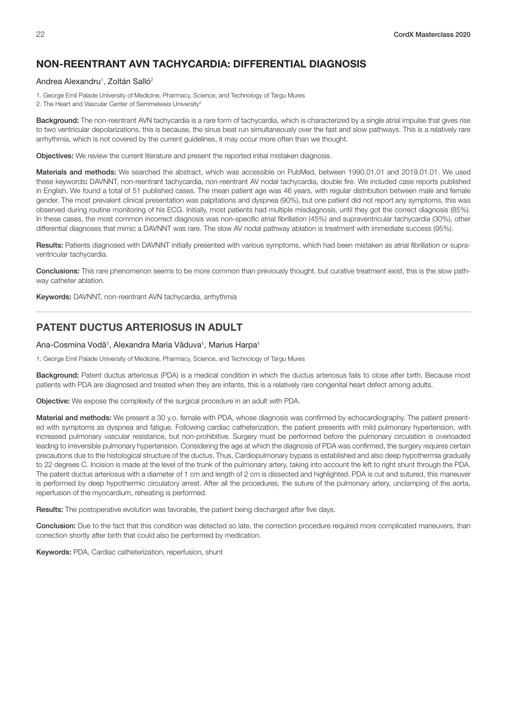# <span id="page-23-0"></span>NON-REENTRANT AVN TACHYCARDIA: DIFFERENTIAL DIAGNOSIS

#### Andrea Alexandru<sup>1</sup>, Zoltán Salló<sup>2</sup>

1. George Emil Palade University of Medicine, Pharmacy, Science, and Technology of Targu Mures 2. The Heart and Vascular Center of Semmelweis University<sup>2</sup>

Background: The non-reentrant AVN tachycardia is a rare form of tachycardia, which is characterized by a single atrial impulse that gives rise to two ventricular depolarizations, this is because, the sinus beat run simultaneously over the fast and slow pathways. This is a relatively rare arrhythmia, which is not covered by the current guidelines, it may occur more often than we thought.

Objectives: We review the current literature and present the reported initial mistaken diagnosis.

Materials and methods: We searched the abstract, which was accessible on PubMed, between 1990.01.01 and 2019.01.01. We used these keywords: DAVNNT, non-reentrant tachycardia, non-reentrant AV nodal tachycardia, double fire. We included case reports published in English. We found a total of 51 published cases. The mean patient age was 46 years, with regular distribution between male and female gender. The most prevalent clinical presentation was palpitations and dyspnea (90%), but one patient did not report any symptoms, this was observed during routine monitoring of his ECG. Initially, most patients had multiple misdiagnosis, until they got the correct diagnosis (85%). In these cases, the most common incorrect diagnosis was non-specific atrial fibrillation (45%) and supraventricular tachycardia (30%), other differential diagnoses that mimic a DAVNNT was rare. The slow AV nodal pathway ablation is treatment with immediate success (95%).

Results: Patients diagnosed with DAVNNT initially presented with various symptoms, which had been mistaken as atrial fibrillation or supraventricular tachycardia.

Conclusions: This rare phenomenon seems to be more common than previously thought, but curative treatment exist, this is the slow pathway catheter ablation.

Keywords: DAVNNT, non-reentrant AVN tachycardia, arrhythmia

#### PATENT DUCTUS ARTERIOSUS IN ADULT

#### Ana-Cosmina Vodă<sup>1</sup>, Alexandra Maria Văduva<sup>1</sup>, Marius Harpa<sup>1</sup>

1. George Emil Palade University of Medicine, Pharmacy, Science, and Technology of Targu Mures

Background: Patent ductus arteriosus (PDA) is a medical condition in which the ductus arteriosus fails to close after birth. Because most patients with PDA are diagnosed and treated when they are infants, this is a relatively rare congenital heart defect among adults.

Objective: We expose the complexity of the surgical procedure in an adult with PDA.

Material and methods: We present a 30 y.o. female with PDA, whose diagnosis was confirmed by echocardiography. The patient presented with symptoms as dyspnea and fatigue. Following cardiac catheterization, the patient presents with mild pulmonary hypertension, with increased pulmonary vascular resistance, but non-prohibitive. Surgery must be performed before the pulmonary circulation is overloaded leading to irreversible pulmonary hypertension. Considering the age at which the diagnosis of PDA was confirmed, the surgery requires certain precautions due to the histological structure of the ductus. Thus, Cardiopulmonary bypass is established and also deep hypothermia gradually to 22 degrees C. Incision is made at the level of the trunk of the pulmonary artery, taking into account the left to right shunt through the PDA. The patent ductus arteriosus with a diameter of 1 cm and length of 2 cm is dissected and highlighted. PDA is cut and sutured, this maneuver is performed by deep hypothermic circulatory arrest. After all the procedures, the suture of the pulmonary artery, unclamping of the aorta, reperfusion of the myocardium, reheating is performed.

Results: The postoperative evolution was favorable, the patient being discharged after five days.

Conclusion: Due to the fact that this condition was detected so late, the correction procedure required more complicated maneuvers, than correction shortly after birth that could also be performed by medication.

Keywords: PDA, Cardiac catheterization, reperfusion, shunt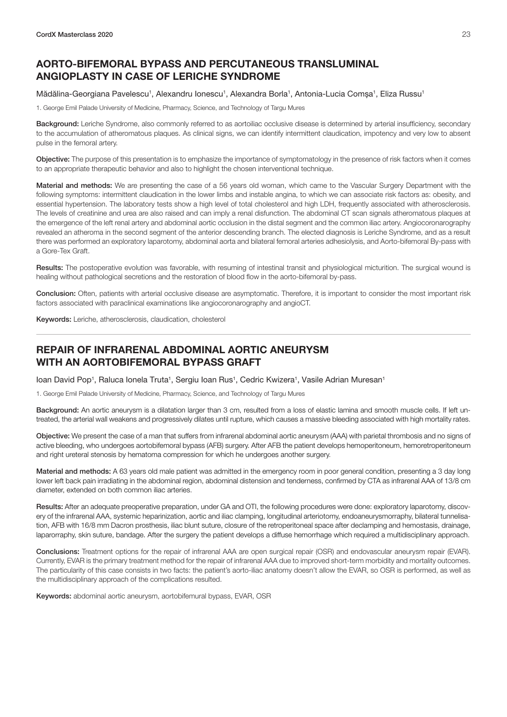# <span id="page-24-0"></span>AORTO-BIFEMORAL BYPASS AND PERCUTANEOUS TRANSLUMINAL ANGIOPLASTY IN CASE OF LERICHE SYNDROME

#### Mădălina-Georgiana Pavelescu<sup>1</sup>, Alexandru Ionescu<sup>1</sup>, Alexandra Borla<sup>1</sup>, Antonia-Lucia Comșa<sup>1</sup>, Eliza Russu<sup>1</sup>

1. George Emil Palade University of Medicine, Pharmacy, Science, and Technology of Targu Mures

Background: Leriche Syndrome, also commonly referred to as aortoiliac occlusive disease is determined by arterial insufficiency, secondary to the accumulation of atheromatous plaques. As clinical signs, we can identify intermittent claudication, impotency and very low to absent pulse in the femoral artery.

Objective: The purpose of this presentation is to emphasize the importance of symptomatology in the presence of risk factors when it comes to an appropriate therapeutic behavior and also to highlight the chosen interventional technique.

Material and methods: We are presenting the case of a 56 years old woman, which came to the Vascular Surgery Department with the following symptoms: intermittent claudication in the lower limbs and instable angina, to which we can associate risk factors as: obesity, and essential hypertension. The laboratory tests show a high level of total cholesterol and high LDH, frequently associated with atherosclerosis. The levels of creatinine and urea are also raised and can imply a renal disfunction. The abdominal CT scan signals atheromatous plaques at the emergence of the left renal artery and abdominal aortic occlusion in the distal segment and the common iliac artery. Angiocoronarography revealed an atheroma in the second segment of the anterior descending branch. The elected diagnosis is Leriche Syndrome, and as a result there was performed an exploratory laparotomy, abdominal aorta and bilateral femoral arteries adhesiolysis, and Aorto-bifemoral By-pass with a Gore-Tex Graft.

Results: The postoperative evolution was favorable, with resuming of intestinal transit and physiological micturition. The surgical wound is healing without pathological secretions and the restoration of blood flow in the aorto-bifemoral by-pass.

Conclusion: Often, patients with arterial occlusive disease are asymptomatic. Therefore, it is important to consider the most important risk factors associated with paraclinical examinations like angiocoronarography and angioCT.

Keywords: Leriche, atherosclerosis, claudication, cholesterol

# REPAIR OF INFRARENAL ABDOMINAL AORTIC ANEURYSM WITH AN AORTOBIFEMORAL BYPASS GRAFT

loan David Pop<sup>1</sup>, Raluca Ionela Truta<sup>1</sup>, Sergiu Ioan Rus<sup>1</sup>, Cedric Kwizera<sup>1</sup>, Vasile Adrian Muresan<sup>1</sup>

1. George Emil Palade University of Medicine, Pharmacy, Science, and Technology of Targu Mures

Background: An aortic aneurysm is a dilatation larger than 3 cm, resulted from a loss of elastic lamina and smooth muscle cells. If left untreated, the arterial wall weakens and progressively dilates until rupture, which causes a massive bleeding associated with high mortality rates.

Objective: We present the case of a man that suffers from infrarenal abdominal aortic aneurysm (AAA) with parietal thrombosis and no signs of active bleeding, who undergoes aortobifemoral bypass (AFB) surgery. After AFB the patient develops hemoperitoneum, hemoretroperitoneum and right ureteral stenosis by hematoma compression for which he undergoes another surgery.

Material and methods: A 63 years old male patient was admitted in the emergency room in poor general condition, presenting a 3 day long lower left back pain irradiating in the abdominal region, abdominal distension and tenderness, confirmed by CTA as infrarenal AAA of 13/8 cm diameter, extended on both common iliac arteries.

Results: After an adequate preoperative preparation, under GA and OTI, the following procedures were done: exploratory laparotomy, discovery of the infrarenal AAA, systemic heparinization, aortic and iliac clamping, longitudinal arteriotomy, endoaneurysmorraphy, bilateral tunnelisation, AFB with 16/8 mm Dacron prosthesis, iliac blunt suture, closure of the retroperitoneal space after declamping and hemostasis, drainage, laparorraphy, skin suture, bandage. After the surgery the patient develops a diffuse hemorrhage which required a multidisciplinary approach.

Conclusions: Treatment options for the repair of infrarenal AAA are open surgical repair (OSR) and endovascular aneurysm repair (EVAR). Currently, EVAR is the primary treatment method for the repair of infrarenal AAA due to improved short-term morbidity and mortality outcomes. The particularity of this case consists in two facts: the patient's aorto-iliac anatomy doesn't allow the EVAR, so OSR is performed, as well as the multidisciplinary approach of the complications resulted.

Keywords: abdominal aortic aneurysm, aortobifemural bypass, EVAR, OSR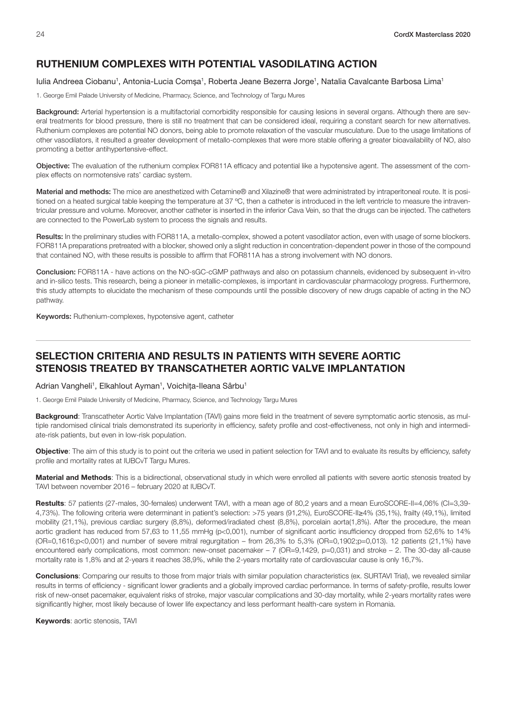#### <span id="page-25-0"></span>RUTHENIUM COMPLEXES WITH POTENTIAL VASODILATING ACTION

#### lulia Andreea Ciobanu<sup>1</sup>, Antonia-Lucia Comșa<sup>1</sup>, Roberta Jeane Bezerra Jorge<sup>1</sup>, Natalia Cavalcante Barbosa Lima<sup>1</sup>

1. George Emil Palade University of Medicine, Pharmacy, Science, and Technology of Targu Mures

Background: Arterial hypertension is a multifactorial comorbidity responsible for causing lesions in several organs. Although there are several treatments for blood pressure, there is still no treatment that can be considered ideal, requiring a constant search for new alternatives. Ruthenium complexes are potential NO donors, being able to promote relaxation of the vascular musculature. Due to the usage limitations of other vasodilators, it resulted a greater development of metallo-complexes that were more stable offering a greater bioavailability of NO, also promoting a better antihypertensive-effect.

Objective: The evaluation of the ruthenium complex FOR811A efficacy and potential like a hypotensive agent. The assessment of the complex effects on normotensive rats' cardiac system.

Material and methods: The mice are anesthetized with Cetamine® and Xilazine® that were administrated by intraperitoneal route. It is positioned on a heated surgical table keeping the temperature at 37 °C, then a catheter is introduced in the left ventricle to measure the intraventricular pressure and volume. Moreover, another catheter is inserted in the inferior Cava Vein, so that the drugs can be injected. The catheters are connected to the PowerLab system to process the signals and results.

Results: In the preliminary studies with FOR811A, a metallo-complex, showed a potent vasodilator action, even with usage of some blockers. FOR811A preparations pretreated with a blocker, showed only a slight reduction in concentration-dependent power in those of the compound that contained NO, with these results is possible to affirm that FOR811A has a strong involvement with NO donors.

Conclusion: FOR811A - have actions on the NO-sGC-cGMP pathways and also on potassium channels, evidenced by subsequent in-vitro and in-silico tests. This research, being a pioneer in metallic-complexes, is important in cardiovascular pharmacology progress. Furthermore, this study attempts to elucidate the mechanism of these compounds until the possible discovery of new drugs capable of acting in the NO pathway.

Keywords: Ruthenium-complexes, hypotensive agent, catheter

# SELECTION CRITERIA AND RESULTS IN PATIENTS WITH SEVERE AORTIC STENOSIS TREATED BY TRANSCATHETER AORTIC VALVE IMPLANTATION

Adrian Vangheli<sup>1</sup>, Elkahlout Ayman<sup>1</sup>, Voichița-Ileana Sârbu<sup>1</sup>

1. George Emil Palade University of Medicine, Pharmacy, Science, and Technology Targu Mures

**Background:** Transcatheter Aortic Valve Implantation (TAVI) gains more field in the treatment of severe symptomatic aortic stenosis, as multiple randomised clinical trials demonstrated its superiority in efficiency, safety profile and cost-effectiveness, not only in high and intermediate-risk patients, but even in low-risk population.

Objective: The aim of this study is to point out the criteria we used in patient selection for TAVI and to evaluate its results by efficiency, safety profile and mortality rates at IUBCvT Targu Mures.

Material and Methods: This is a bidirectional, observational study in which were enrolled all patients with severe aortic stenosis treated by TAVI between november 2016 – february 2020 at IUBCvT.

Restults: 57 patients (27-males, 30-females) underwent TAVI, with a mean age of 80,2 years and a mean EuroSCORE-II=4,06% (CI=3,39-4,73%). The following criteria were determinant in patient's selection: >75 years (91,2%), EuroSCORE-II≥4% (35,1%), frailty (49,1%), limited mobility (21,1%), previous cardiac surgery (8,8%), deformed/iradiated chest (8,8%), porcelain aorta(1,8%). After the procedure, the mean aortic gradient has reduced from 57,63 to 11,55 mmHg (p<0,001), number of significant aortic insufficiency dropped from 52,6% to 14% (OR=0,1616;p<0,001) and number of severe mitral regurgitation – from 26,3% to 5,3% (OR=0,1902;p=0,013). 12 patients (21,1%) have encountered early complications, most common: new-onset pacemaker – 7 (OR=9,1429, p=0,031) and stroke – 2. The 30-day all-cause mortality rate is 1,8% and at 2-years it reaches 38,9%, while the 2-years mortality rate of cardiovascular cause is only 16,7%.

Conclusions: Comparing our results to those from major trials with similar population characteristics (ex. SURTAVI Trial), we revealed similar results in terms of efficiency - significant lower gradients and a globally improved cardiac performance. In terms of safety-profile, results lower risk of new-onset pacemaker, equivalent risks of stroke, major vascular complications and 30-day mortality, while 2-years mortality rates were significantly higher, most likely because of lower life expectancy and less performant health-care system in Romania.

Keywords: aortic stenosis, TAVI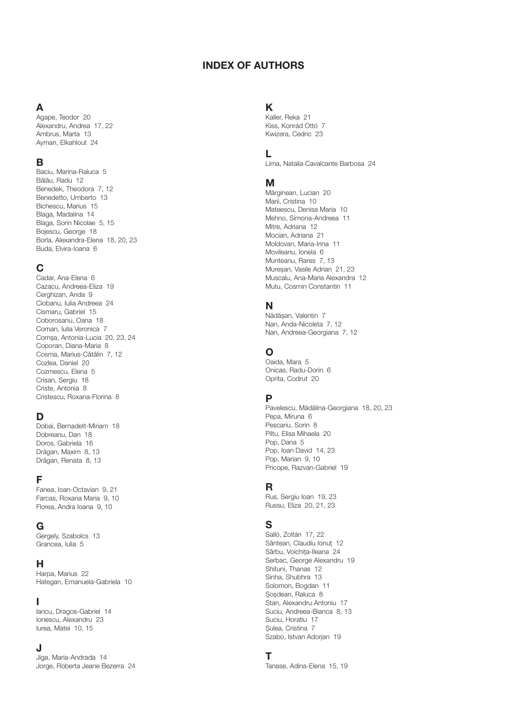#### INDEX OF AUTHORS

# A

Agape, Teodor [20](#page-21-0) Alexandru, Andrea [17](#page-18-0), [22](#page-23-0) Ambrus, Marta [13](#page-14-0) Ayman, Elkahlout 24

# B

Baciu, Marina-Raluca [5](#page-6-0) Bălău, Radu [12](#page-13-0) Benedek, Theodora [7,](#page-8-0) [12](#page-13-0) Benedetto, Umberto [13](#page-14-0) Bichescu, Marius [15](#page-16-0) Blaga, Madalina [14](#page-15-0) Blaga, Sorin Nicolae [5,](#page-6-0) [15](#page-16-0) Bojescu, George [18](#page-19-0) Borla, Alexandra-Elena [18](#page-19-0), [20,](#page-21-0) [23](#page-24-0) Buda, Elvira-Ioana [6](#page-7-0)

# C

Cadar, Ana-Elena [6](#page-7-0) Cazacu, Andreea-Eliza [19](#page-20-0) Cerghizan, Anda [9](#page-10-0) Ciobanu, Iulia Andreea [24](#page-25-0) Cismaru, Gabriel [15](#page-16-0) Coborosanu, Oana [18](#page-19-0) Coman, Iulia Veronica [7](#page-8-0) Comșa, Antonia-Lucia [20](#page-21-0), 23, [24](#page-25-0) Coporan, Diana-Maria [8](#page-9-0) Cosma, Marius-Cătălin 7, [12](#page-13-0) Cozlea, Daniel [20](#page-21-0) Cozmescu, Elena [5](#page-6-0) Crisan, Sergiu [18](#page-19-0) Criste, Antonia [8](#page-9-0) Cristescu, Roxana-Florina [8](#page-9-0)

# D

Dobai, Bernadett-Miriam [18](#page-19-0) Dobreanu, Dan [18](#page-19-0) Doros, Gabriela [16](#page-17-0) Drăgan, Maxim [8,](#page-9-0) [13](#page-14-0) Drăgan, Renata [8](#page-9-0), [13](#page-14-0)

#### F

Fanea, Ioan-Octavian [9,](#page-10-0) [21](#page-22-0) Farcas, Roxana Maria [9](#page-10-0), [10](#page-11-0) Florea, Andra Ioana [9](#page-10-0), [10](#page-11-0)

#### G

Gergely, Szabolcs [13](#page-14-0) Grancea, Iulia [5](#page-6-0)

#### H

Harpa, Marius [22](#page-23-0) Hategan, Emanuela-Gabriela [10](#page-11-0)

#### I

Iancu, Dragos-Gabriel [14](#page-15-0) Ionescu, Alexandru [23](#page-24-0) Iurea, Matei [10,](#page-11-0) [15](#page-16-0)

#### J

Jiga, Maria-Andrada [14](#page-15-0) Jorge, Roberta Jeane Bezerra [24](#page-25-0)

#### K

Kaller, Reka [21](#page-22-0) Kiss, Konrád Ottó [7](#page-8-0) Kwizera, Cedric [23](#page-24-0)

#### L

Lima, Natalia Cavalcante Barbosa [24](#page-25-0)

#### M

Mărginean, Lucian [20](#page-21-0) Marii, Cristina [10](#page-11-0) Mateescu, Denisa Maria [10](#page-11-0) Mehno, Simona-Andreea [11](#page-12-0) Mitre, Adriana [12](#page-13-0) Mocian, Adriana [21](#page-22-0) Moldovan, Maria-Irina [11](#page-12-0) Movileanu, Ionela [6](#page-7-0) Munteanu, Rares [7,](#page-8-0) [13](#page-14-0) Mureșan, Vasile Adrian [21](#page-22-0), 23 Muscalu, Ana-Maria Alexandra [12](#page-13-0) Mutu, Cosmin Constantin [11](#page-12-0)

# N

Nădășan, Valentin [7](#page-8-0) Nan, Anda-Nicoleta [7](#page-8-0), [12](#page-13-0) Nan, Andreea-Georgiana [7,](#page-8-0) [12](#page-13-0)

# O

Oaida, Mara [5](#page-6-0) Onicas, Radu-Dorin [6](#page-7-0) Oprita, Codrut [20](#page-21-0)

# P

Pavelescu, Mădălina-Georgiana 18, 20, [23](#page-24-0) Pepa, Miruna [6](#page-7-0) Pescariu, Sorin [8](#page-9-0) Piltu, Elisa Mihaela [20](#page-21-0) Pop, Dana [5](#page-6-0) Pop, Ioan David [14,](#page-15-0) [23](#page-24-0) Pop, Marian [9](#page-10-0), [10](#page-11-0) Pricope, Razvan-Gabriel [19](#page-20-0)

# R

Rus, Sergiu Ioan [19,](#page-20-0) [23](#page-24-0) Russu, Eliza [20,](#page-21-0) [21](#page-22-0), [23](#page-24-0)

# S

Salló, Zoltán [17,](#page-18-0) [22](#page-23-0) Sântean, Claudiu Ionuț [12](#page-13-0) Sârbu, Voichița-Ileana 24 Serbac, George Alexandru [19](#page-20-0) Shituni, Thanas [12](#page-13-0) Sinha, Shubhra [13](#page-14-0) Solomon, Bogdan [11](#page-12-0) Șoșdean, Raluca [8](#page-9-0) Stan, Alexandru Antoniu [17](#page-18-0) Suciu, Andreea-Bianca [8,](#page-9-0) [13](#page-14-0) Suciu, Horatiu [17](#page-18-0) Șulea, Cristina [7](#page-8-0) Szabo, Istvan Adorjan [19](#page-20-0)

#### T

Tanase, Adina-Elena [15](#page-16-0), [19](#page-20-0)